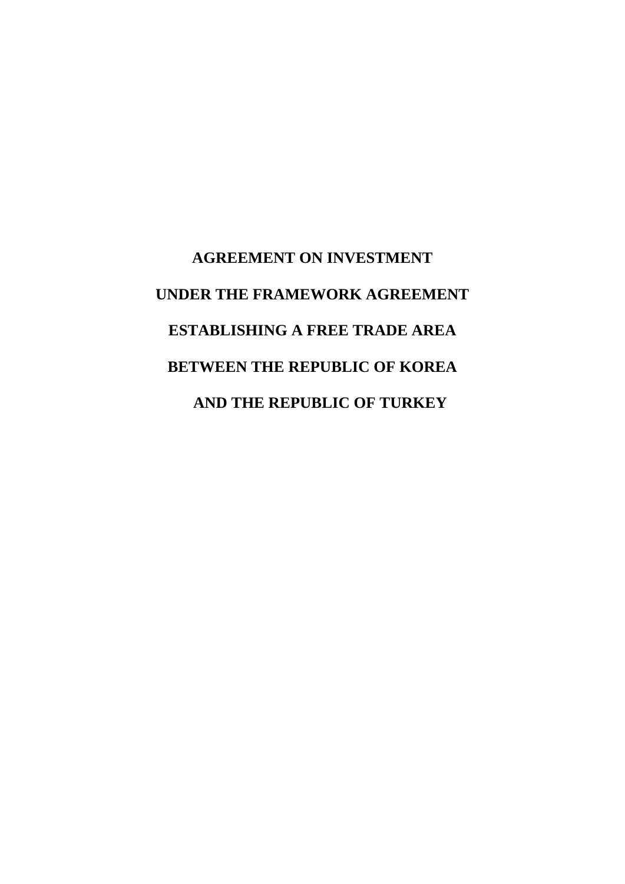# **AGREEMENT ON INVESTMENT UNDER THE FRAMEWORK AGREEMENT ESTABLISHING A FREE TRADE AREA BETWEEN THE REPUBLIC OF KOREA AND THE REPUBLIC OF TURKEY**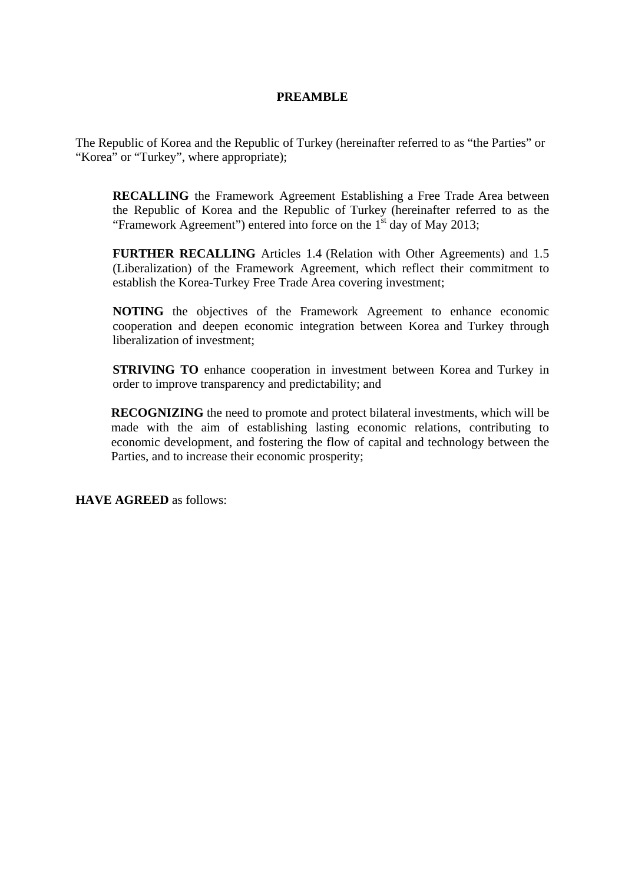# **PREAMBLE**

The Republic of Korea and the Republic of Turkey (hereinafter referred to as "the Parties" or "Korea" or "Turkey", where appropriate);

**RECALLING** the Framework Agreement Establishing a Free Trade Area between the Republic of Korea and the Republic of Turkey (hereinafter referred to as the "Framework Agreement") entered into force on the  $1<sup>st</sup>$  day of May 2013;

**FURTHER RECALLING** Articles 1.4 (Relation with Other Agreements) and 1.5 (Liberalization) of the Framework Agreement, which reflect their commitment to establish the Korea-Turkey Free Trade Area covering investment;

**NOTING** the objectives of the Framework Agreement to enhance economic cooperation and deepen economic integration between Korea and Turkey through liberalization of investment;

**STRIVING TO** enhance cooperation in investment between Korea and Turkey in order to improve transparency and predictability; and

**RECOGNIZING** the need to promote and protect bilateral investments, which will be made with the aim of establishing lasting economic relations, contributing to economic development, and fostering the flow of capital and technology between the Parties, and to increase their economic prosperity;

**HAVE AGREED** as follows: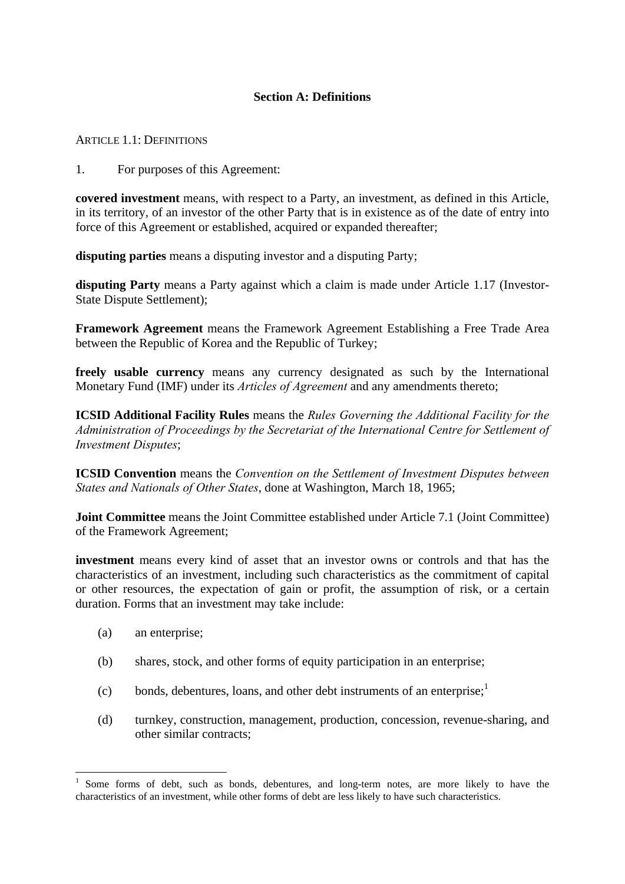## **Section A: Definitions**

ARTICLE 1.1: DEFINITIONS

1. For purposes of this Agreement:

**covered investment** means, with respect to a Party, an investment, as defined in this Article, in its territory, of an investor of the other Party that is in existence as of the date of entry into force of this Agreement or established, acquired or expanded thereafter;

**disputing parties** means a disputing investor and a disputing Party;

**disputing Party** means a Party against which a claim is made under Article 1.17 (Investor-State Dispute Settlement);

**Framework Agreement** means the Framework Agreement Establishing a Free Trade Area between the Republic of Korea and the Republic of Turkey;

**freely usable currency** means any currency designated as such by the International Monetary Fund (IMF) under its *Articles of Agreement* and any amendments thereto;

**ICSID Additional Facility Rules** means the *Rules Governing the Additional Facility for the Administration of Proceedings by the Secretariat of the International Centre for Settlement of Investment Disputes*;

**ICSID Convention** means the *Convention on the Settlement of Investment Disputes between States and Nationals of Other States*, done at Washington, March 18, 1965;

**Joint Committee** means the Joint Committee established under Article 7.1 (Joint Committee) of the Framework Agreement;

**investment** means every kind of asset that an investor owns or controls and that has the characteristics of an investment, including such characteristics as the commitment of capital or other resources, the expectation of gain or profit, the assumption of risk, or a certain duration. Forms that an investment may take include:

(a) an enterprise;

1

- (b) shares, stock, and other forms of equity participation in an enterprise;
- (c) bonds, debentures, loans, and other debt instruments of an enterprise; $<sup>1</sup>$ </sup>
- (d) turnkey, construction, management, production, concession, revenue-sharing, and other similar contracts;

<sup>1</sup> Some forms of debt, such as bonds, debentures, and long-term notes, are more likely to have the characteristics of an investment, while other forms of debt are less likely to have such characteristics.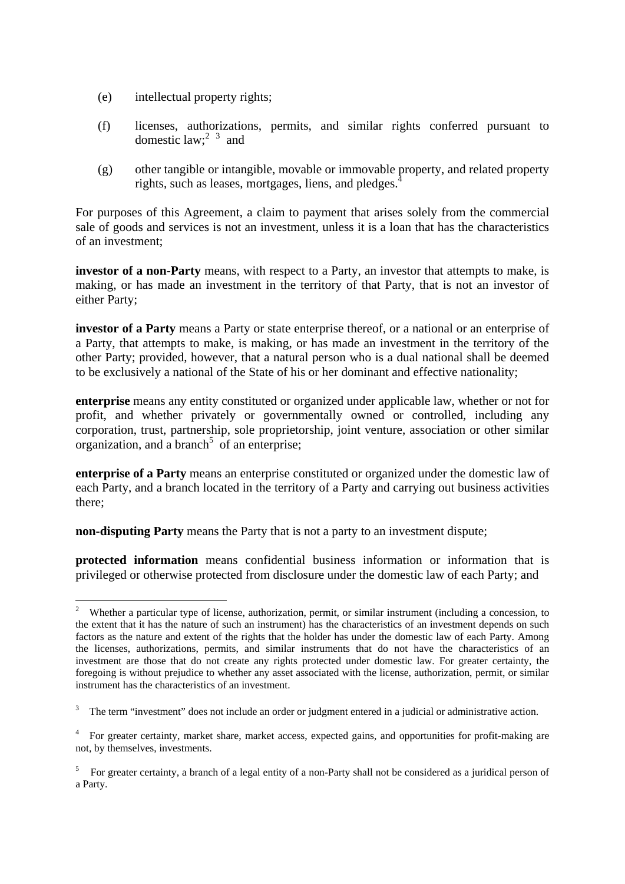- (e) intellectual property rights;
- (f) licenses, authorizations, permits, and similar rights conferred pursuant to domestic law;<sup>2 $3$ </sup> and
- (g) other tangible or intangible, movable or immovable property, and related property rights, such as leases, mortgages, liens, and pledges.<sup>4</sup>

For purposes of this Agreement, a claim to payment that arises solely from the commercial sale of goods and services is not an investment, unless it is a loan that has the characteristics of an investment;

**investor of a non-Party** means, with respect to a Party, an investor that attempts to make, is making, or has made an investment in the territory of that Party, that is not an investor of either Party;

**investor of a Party** means a Party or state enterprise thereof, or a national or an enterprise of a Party, that attempts to make, is making, or has made an investment in the territory of the other Party; provided, however, that a natural person who is a dual national shall be deemed to be exclusively a national of the State of his or her dominant and effective nationality;

**enterprise** means any entity constituted or organized under applicable law, whether or not for profit, and whether privately or governmentally owned or controlled, including any corporation, trust, partnership, sole proprietorship, joint venture, association or other similar  $organization$ , and a branch<sup>5</sup> of an enterprise;

**enterprise of a Party** means an enterprise constituted or organized under the domestic law of each Party, and a branch located in the territory of a Party and carrying out business activities there;

**non-disputing Party** means the Party that is not a party to an investment dispute;

**protected information** means confidential business information or information that is privileged or otherwise protected from disclosure under the domestic law of each Party; and

 $\frac{1}{2}$  Whether a particular type of license, authorization, permit, or similar instrument (including a concession, to the extent that it has the nature of such an instrument) has the characteristics of an investment depends on such factors as the nature and extent of the rights that the holder has under the domestic law of each Party. Among the licenses, authorizations, permits, and similar instruments that do not have the characteristics of an investment are those that do not create any rights protected under domestic law. For greater certainty, the foregoing is without prejudice to whether any asset associated with the license, authorization, permit, or similar instrument has the characteristics of an investment.

<sup>3</sup> The term "investment" does not include an order or judgment entered in a judicial or administrative action.

<sup>4</sup> For greater certainty, market share, market access, expected gains, and opportunities for profit-making are not, by themselves, investments.

<sup>&</sup>lt;sup>5</sup> For greater certainty, a branch of a legal entity of a non-Party shall not be considered as a juridical person of a Party.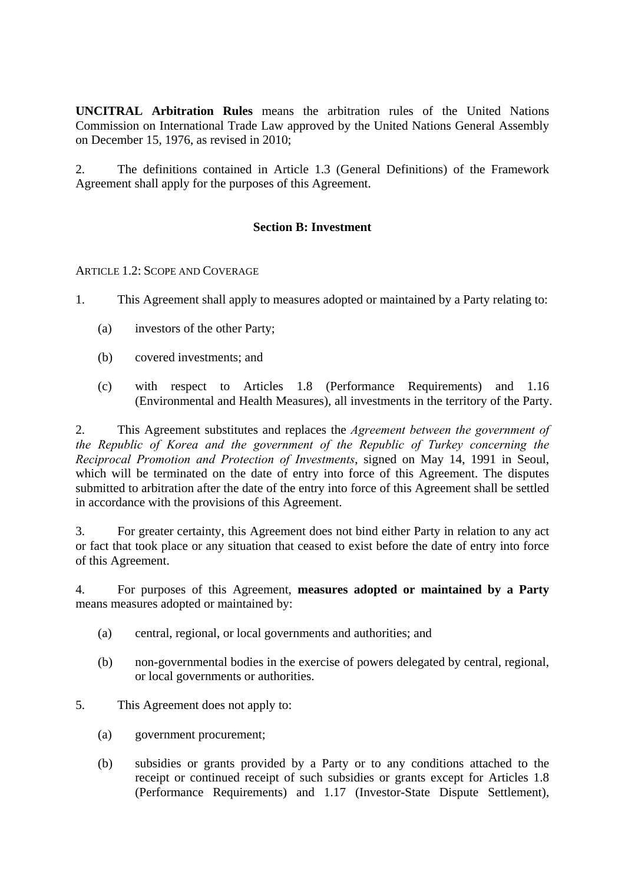**UNCITRAL Arbitration Rules** means the arbitration rules of the United Nations Commission on International Trade Law approved by the United Nations General Assembly on December 15, 1976, as revised in 2010;

2. The definitions contained in Article 1.3 (General Definitions) of the Framework Agreement shall apply for the purposes of this Agreement.

# **Section B: Investment**

ARTICLE 1.2: SCOPE AND COVERAGE

1. This Agreement shall apply to measures adopted or maintained by a Party relating to:

- (a) investors of the other Party;
- (b) covered investments; and
- (c) with respect to Articles 1.8 (Performance Requirements) and 1.16 (Environmental and Health Measures), all investments in the territory of the Party.

2. This Agreement substitutes and replaces the *Agreement between the government of the Republic of Korea and the government of the Republic of Turkey concerning the Reciprocal Promotion and Protection of Investments*, signed on May 14, 1991 in Seoul, which will be terminated on the date of entry into force of this Agreement. The disputes submitted to arbitration after the date of the entry into force of this Agreement shall be settled in accordance with the provisions of this Agreement.

3. For greater certainty, this Agreement does not bind either Party in relation to any act or fact that took place or any situation that ceased to exist before the date of entry into force of this Agreement.

4. For purposes of this Agreement, **measures adopted or maintained by a Party** means measures adopted or maintained by:

- (a) central, regional, or local governments and authorities; and
- (b) non-governmental bodies in the exercise of powers delegated by central, regional, or local governments or authorities.
- 5. This Agreement does not apply to:
	- (a) government procurement;
	- (b) subsidies or grants provided by a Party or to any conditions attached to the receipt or continued receipt of such subsidies or grants except for Articles 1.8 (Performance Requirements) and 1.17 (Investor-State Dispute Settlement),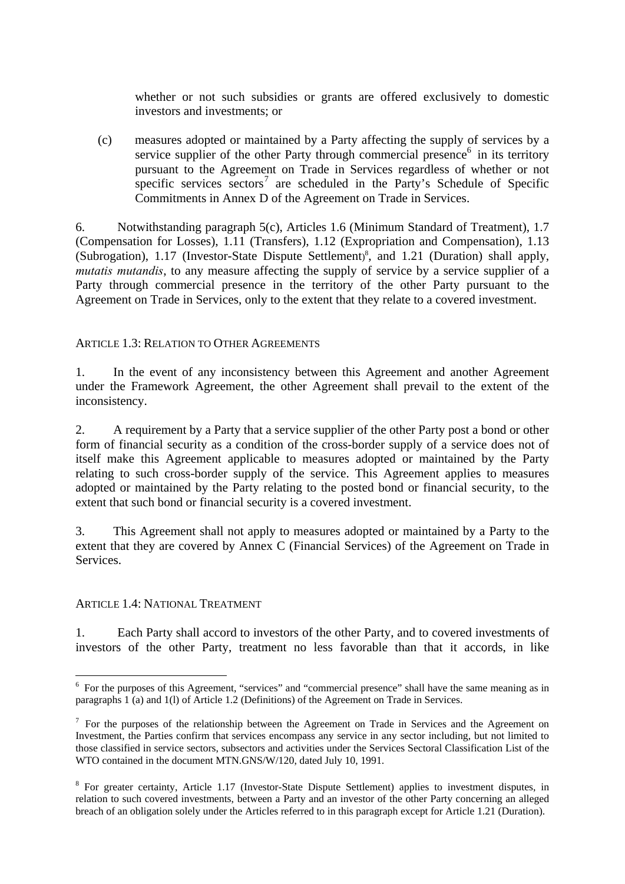whether or not such subsidies or grants are offered exclusively to domestic investors and investments; or

(c) measures adopted or maintained by a Party affecting the supply of services by a service supplier of the other Party through commercial presence<sup>6</sup> in its territory pursuant to the Agreement on Trade in Services regardless of whether or not specific services  $\text{sectors}^7$  are scheduled in the Party's Schedule of Specific Commitments in Annex D of the Agreement on Trade in Services.

6. Notwithstanding paragraph 5(c), Articles 1.6 (Minimum Standard of Treatment), 1.7 (Compensation for Losses), 1.11 (Transfers), 1.12 (Expropriation and Compensation), 1.13 (Subrogation), 1.17 (Investor-State Dispute Settlement) 8 , and 1.21 (Duration) shall apply, *mutatis mutandis*, to any measure affecting the supply of service by a service supplier of a Party through commercial presence in the territory of the other Party pursuant to the Agreement on Trade in Services, only to the extent that they relate to a covered investment.

# ARTICLE 1.3: RELATION TO OTHER AGREEMENTS

1. In the event of any inconsistency between this Agreement and another Agreement under the Framework Agreement, the other Agreement shall prevail to the extent of the inconsistency.

2. A requirement by a Party that a service supplier of the other Party post a bond or other form of financial security as a condition of the cross-border supply of a service does not of itself make this Agreement applicable to measures adopted or maintained by the Party relating to such cross-border supply of the service. This Agreement applies to measures adopted or maintained by the Party relating to the posted bond or financial security, to the extent that such bond or financial security is a covered investment.

3. This Agreement shall not apply to measures adopted or maintained by a Party to the extent that they are covered by Annex C (Financial Services) of the Agreement on Trade in **Services** 

#### ARTICLE 1.4: NATIONAL TREATMENT

1. Each Party shall accord to investors of the other Party, and to covered investments of investors of the other Party, treatment no less favorable than that it accords, in like

<sup>&</sup>lt;sup>6</sup> For the purposes of this Agreement, "services" and "commercial presence" shall have the same meaning as in paragraphs 1 (a) and 1(l) of Article 1.2 (Definitions) of the Agreement on Trade in Services.

 $<sup>7</sup>$  For the purposes of the relationship between the Agreement on Trade in Services and the Agreement on</sup> Investment, the Parties confirm that services encompass any service in any sector including, but not limited to those classified in service sectors, subsectors and activities under the Services Sectoral Classification List of the WTO contained in the document MTN.GNS/W/120, dated July 10, 1991.

<sup>&</sup>lt;sup>8</sup> For greater certainty, Article 1.17 (Investor-State Dispute Settlement) applies to investment disputes, in relation to such covered investments, between a Party and an investor of the other Party concerning an alleged breach of an obligation solely under the Articles referred to in this paragraph except for Article 1.21 (Duration).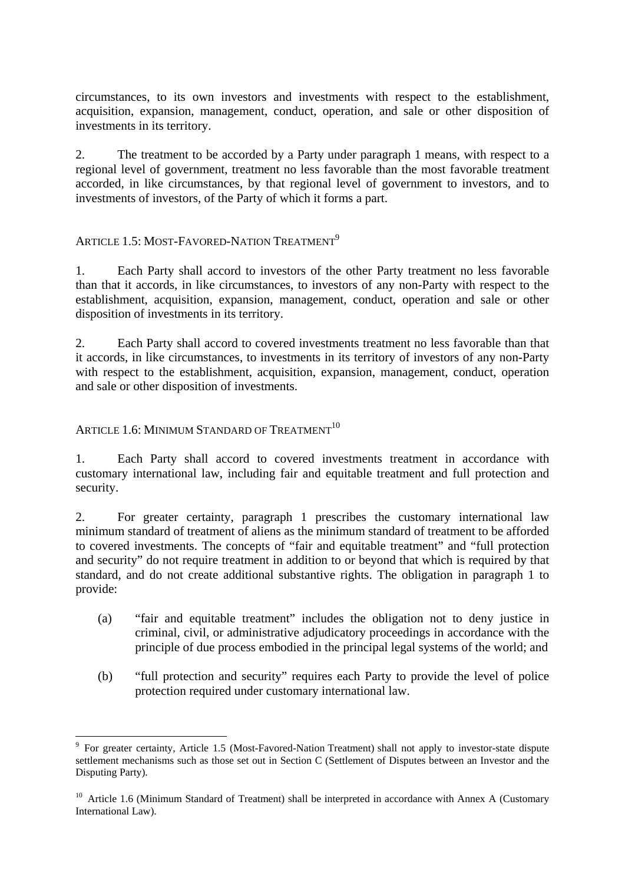circumstances, to its own investors and investments with respect to the establishment, acquisition, expansion, management, conduct, operation, and sale or other disposition of investments in its territory.

2. The treatment to be accorded by a Party under paragraph 1 means, with respect to a regional level of government, treatment no less favorable than the most favorable treatment accorded, in like circumstances, by that regional level of government to investors, and to investments of investors, of the Party of which it forms a part.

# ARTICLE 1.5: MOST-FAVORED-NATION TREATMENT<sup>9</sup>

1. Each Party shall accord to investors of the other Party treatment no less favorable than that it accords, in like circumstances, to investors of any non-Party with respect to the establishment, acquisition, expansion, management, conduct, operation and sale or other disposition of investments in its territory.

2. Each Party shall accord to covered investments treatment no less favorable than that it accords, in like circumstances, to investments in its territory of investors of any non-Party with respect to the establishment, acquisition, expansion, management, conduct, operation and sale or other disposition of investments.

# ARTICLE 1.6: MINIMUM STANDARD OF TREATMENT<sup>10</sup>

<u>.</u>

1. Each Party shall accord to covered investments treatment in accordance with customary international law, including fair and equitable treatment and full protection and security.

2. For greater certainty, paragraph 1 prescribes the customary international law minimum standard of treatment of aliens as the minimum standard of treatment to be afforded to covered investments. The concepts of "fair and equitable treatment" and "full protection and security" do not require treatment in addition to or beyond that which is required by that standard, and do not create additional substantive rights. The obligation in paragraph 1 to provide:

- (a) "fair and equitable treatment" includes the obligation not to deny justice in criminal, civil, or administrative adjudicatory proceedings in accordance with the principle of due process embodied in the principal legal systems of the world; and
- (b) "full protection and security" requires each Party to provide the level of police protection required under customary international law.

<sup>&</sup>lt;sup>9</sup> For greater certainty, Article 1.5 (Most-Favored-Nation Treatment) shall not apply to investor-state dispute settlement mechanisms such as those set out in Section C (Settlement of Disputes between an Investor and the Disputing Party).

<sup>&</sup>lt;sup>10</sup> Article 1.6 (Minimum Standard of Treatment) shall be interpreted in accordance with Annex A (Customary International Law).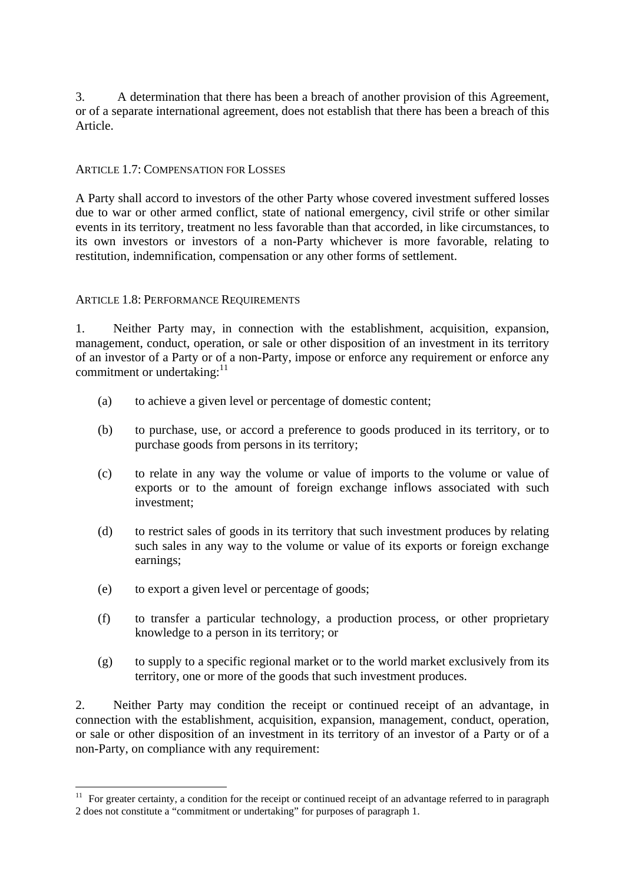3. A determination that there has been a breach of another provision of this Agreement, or of a separate international agreement, does not establish that there has been a breach of this Article.

#### ARTICLE 1.7: COMPENSATION FOR LOSSES

A Party shall accord to investors of the other Party whose covered investment suffered losses due to war or other armed conflict, state of national emergency, civil strife or other similar events in its territory, treatment no less favorable than that accorded, in like circumstances, to its own investors or investors of a non-Party whichever is more favorable, relating to restitution, indemnification, compensation or any other forms of settlement.

#### ARTICLE 1.8: PERFORMANCE REQUIREMENTS

1. Neither Party may, in connection with the establishment, acquisition, expansion, management, conduct, operation, or sale or other disposition of an investment in its territory of an investor of a Party or of a non-Party, impose or enforce any requirement or enforce any commitment or undertaking:<sup>11</sup>

- (a) to achieve a given level or percentage of domestic content;
- (b) to purchase, use, or accord a preference to goods produced in its territory, or to purchase goods from persons in its territory;
- (c) to relate in any way the volume or value of imports to the volume or value of exports or to the amount of foreign exchange inflows associated with such investment;
- (d) to restrict sales of goods in its territory that such investment produces by relating such sales in any way to the volume or value of its exports or foreign exchange earnings;
- (e) to export a given level or percentage of goods;

<u>.</u>

- (f) to transfer a particular technology, a production process, or other proprietary knowledge to a person in its territory; or
- (g) to supply to a specific regional market or to the world market exclusively from its territory, one or more of the goods that such investment produces.

2. Neither Party may condition the receipt or continued receipt of an advantage, in connection with the establishment, acquisition, expansion, management, conduct, operation, or sale or other disposition of an investment in its territory of an investor of a Party or of a non-Party, on compliance with any requirement:

 $11$  For greater certainty, a condition for the receipt or continued receipt of an advantage referred to in paragraph 2 does not constitute a "commitment or undertaking" for purposes of paragraph 1.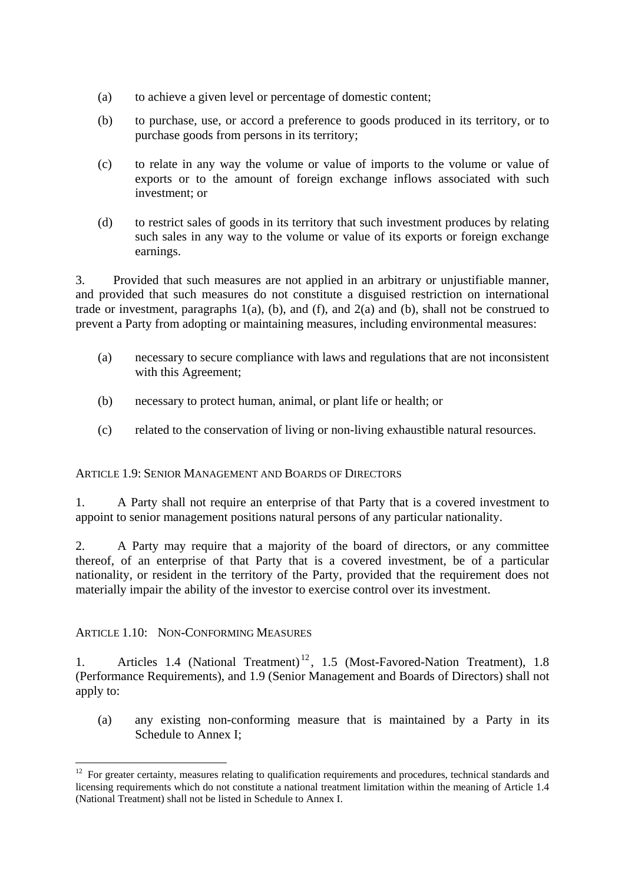- (a) to achieve a given level or percentage of domestic content;
- (b) to purchase, use, or accord a preference to goods produced in its territory, or to purchase goods from persons in its territory;
- (c) to relate in any way the volume or value of imports to the volume or value of exports or to the amount of foreign exchange inflows associated with such investment; or
- (d) to restrict sales of goods in its territory that such investment produces by relating such sales in any way to the volume or value of its exports or foreign exchange earnings.

3. Provided that such measures are not applied in an arbitrary or unjustifiable manner, and provided that such measures do not constitute a disguised restriction on international trade or investment, paragraphs  $1(a)$ ,  $(b)$ , and  $f$ ), and  $2(a)$  and  $(b)$ , shall not be construed to prevent a Party from adopting or maintaining measures, including environmental measures:

- (a) necessary to secure compliance with laws and regulations that are not inconsistent with this Agreement;
- (b) necessary to protect human, animal, or plant life or health; or
- (c) related to the conservation of living or non-living exhaustible natural resources.

#### ARTICLE 1.9: SENIOR MANAGEMENT AND BOARDS OF DIRECTORS

1. A Party shall not require an enterprise of that Party that is a covered investment to appoint to senior management positions natural persons of any particular nationality.

2. A Party may require that a majority of the board of directors, or any committee thereof, of an enterprise of that Party that is a covered investment, be of a particular nationality, or resident in the territory of the Party, provided that the requirement does not materially impair the ability of the investor to exercise control over its investment.

#### ARTICLE 1.10: NON-CONFORMING MEASURES

1

1. Articles 1.4 (National Treatment)<sup>12</sup>, 1.5 (Most-Favored-Nation Treatment), 1.8 (Performance Requirements), and 1.9 (Senior Management and Boards of Directors) shall not apply to:

(a) any existing non-conforming measure that is maintained by a Party in its Schedule to Annex I;

<sup>&</sup>lt;sup>12</sup> For greater certainty, measures relating to qualification requirements and procedures, technical standards and licensing requirements which do not constitute a national treatment limitation within the meaning of Article 1.4 (National Treatment) shall not be listed in Schedule to Annex I.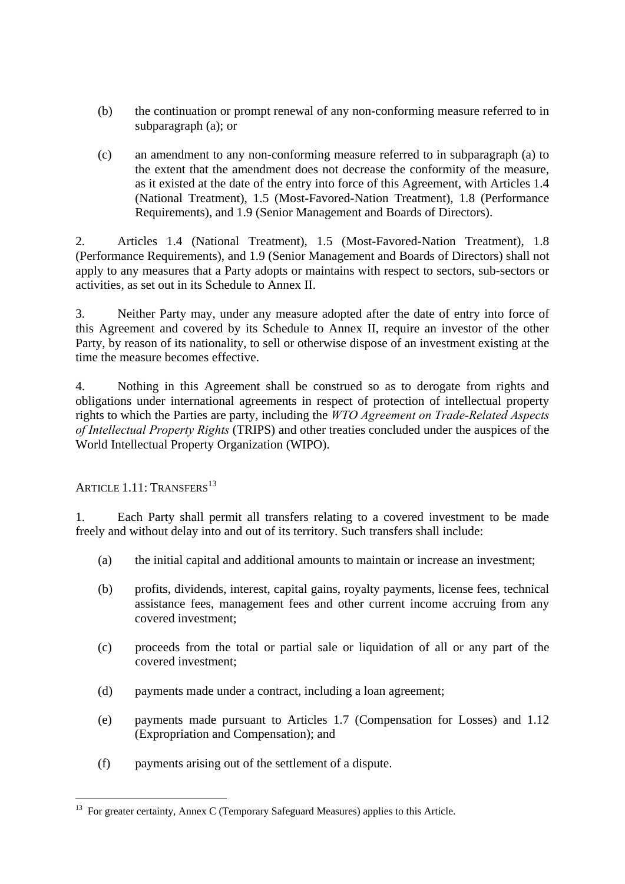- (b) the continuation or prompt renewal of any non-conforming measure referred to in subparagraph (a); or
- (c) an amendment to any non-conforming measure referred to in subparagraph (a) to the extent that the amendment does not decrease the conformity of the measure, as it existed at the date of the entry into force of this Agreement, with Articles 1.4 (National Treatment), 1.5 (Most-Favored-Nation Treatment), 1.8 (Performance Requirements), and 1.9 (Senior Management and Boards of Directors).

2. Articles 1.4 (National Treatment), 1.5 (Most-Favored-Nation Treatment), 1.8 (Performance Requirements), and 1.9 (Senior Management and Boards of Directors) shall not apply to any measures that a Party adopts or maintains with respect to sectors, sub-sectors or activities, as set out in its Schedule to Annex II.

3. Neither Party may, under any measure adopted after the date of entry into force of this Agreement and covered by its Schedule to Annex II, require an investor of the other Party, by reason of its nationality, to sell or otherwise dispose of an investment existing at the time the measure becomes effective.

4. Nothing in this Agreement shall be construed so as to derogate from rights and obligations under international agreements in respect of protection of intellectual property rights to which the Parties are party, including the *WTO Agreement on Trade-Related Aspects of Intellectual Property Rights* (TRIPS) and other treaties concluded under the auspices of the World Intellectual Property Organization (WIPO).

ARTICLE  $1.11$ : TRANSFERS<sup>13</sup>

1. Each Party shall permit all transfers relating to a covered investment to be made freely and without delay into and out of its territory. Such transfers shall include:

- (a) the initial capital and additional amounts to maintain or increase an investment;
- (b) profits, dividends, interest, capital gains, royalty payments, license fees, technical assistance fees, management fees and other current income accruing from any covered investment;
- (c) proceeds from the total or partial sale or liquidation of all or any part of the covered investment;
- (d) payments made under a contract, including a loan agreement;
- (e) payments made pursuant to Articles 1.7 (Compensation for Losses) and 1.12 (Expropriation and Compensation); and
- (f) payments arising out of the settlement of a dispute.

<sup>1</sup>  $13$  For greater certainty, Annex C (Temporary Safeguard Measures) applies to this Article.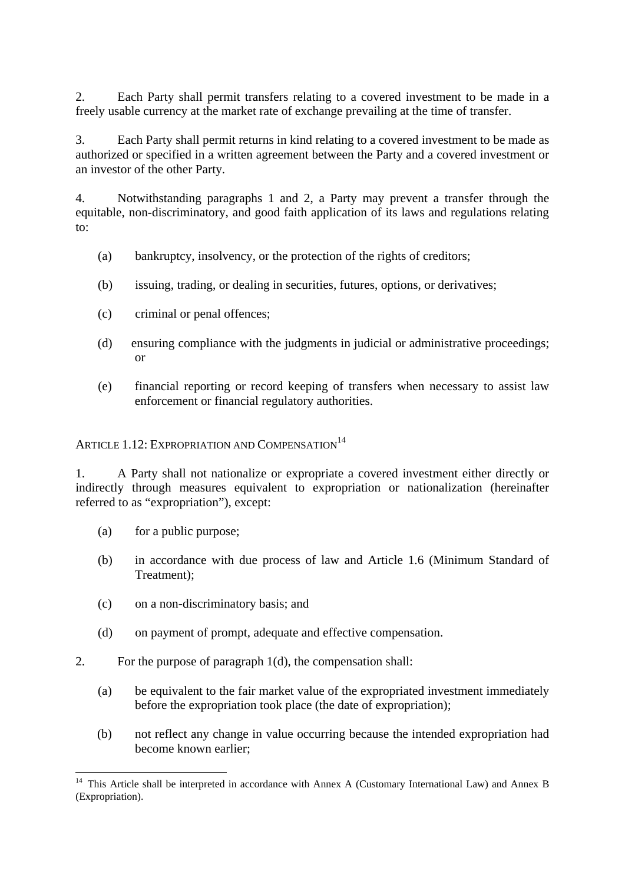2. Each Party shall permit transfers relating to a covered investment to be made in a freely usable currency at the market rate of exchange prevailing at the time of transfer.

3. Each Party shall permit returns in kind relating to a covered investment to be made as authorized or specified in a written agreement between the Party and a covered investment or an investor of the other Party.

4. Notwithstanding paragraphs 1 and 2, a Party may prevent a transfer through the equitable, non-discriminatory, and good faith application of its laws and regulations relating to:

- (a) bankruptcy, insolvency, or the protection of the rights of creditors;
- (b) issuing, trading, or dealing in securities, futures, options, or derivatives;
- (c) criminal or penal offences;
- (d) ensuring compliance with the judgments in judicial or administrative proceedings; or
- (e) financial reporting or record keeping of transfers when necessary to assist law enforcement or financial regulatory authorities.

ARTICLE 1.12: EXPROPRIATION AND COMPENSATION<sup>14</sup>

1. A Party shall not nationalize or expropriate a covered investment either directly or indirectly through measures equivalent to expropriation or nationalization (hereinafter referred to as "expropriation"), except:

- (a) for a public purpose;
- (b) in accordance with due process of law and Article 1.6 (Minimum Standard of Treatment);
- (c) on a non-discriminatory basis; and
- (d) on payment of prompt, adequate and effective compensation.
- 2. For the purpose of paragraph 1(d), the compensation shall:
	- (a) be equivalent to the fair market value of the expropriated investment immediately before the expropriation took place (the date of expropriation);
	- (b) not reflect any change in value occurring because the intended expropriation had become known earlier;

<sup>1</sup> <sup>14</sup> This Article shall be interpreted in accordance with Annex A (Customary International Law) and Annex B (Expropriation).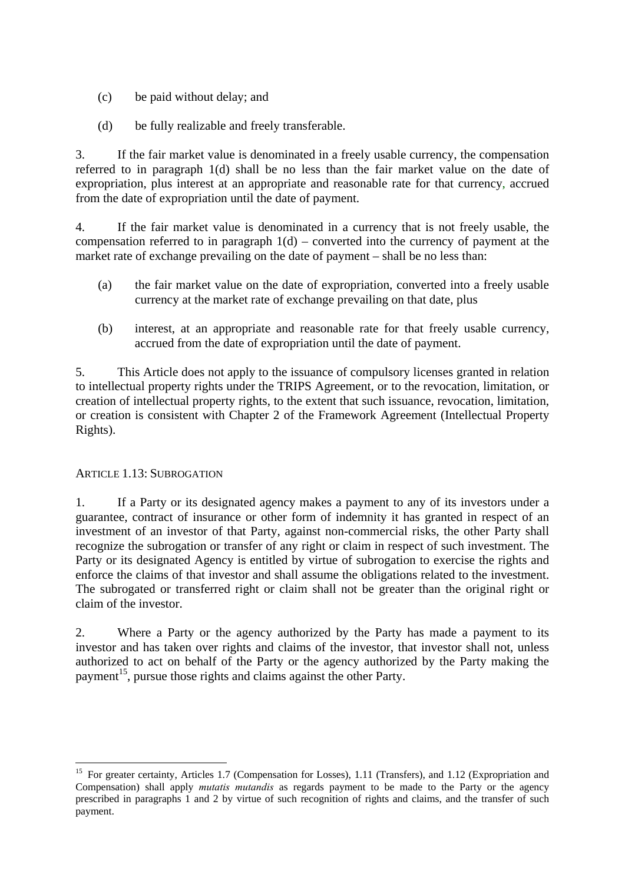- (c) be paid without delay; and
- (d) be fully realizable and freely transferable.

3. If the fair market value is denominated in a freely usable currency, the compensation referred to in paragraph 1(d) shall be no less than the fair market value on the date of expropriation, plus interest at an appropriate and reasonable rate for that currency, accrued from the date of expropriation until the date of payment.

4. If the fair market value is denominated in a currency that is not freely usable, the compensation referred to in paragraph  $1(d)$  – converted into the currency of payment at the market rate of exchange prevailing on the date of payment – shall be no less than:

- (a) the fair market value on the date of expropriation, converted into a freely usable currency at the market rate of exchange prevailing on that date, plus
- (b) interest, at an appropriate and reasonable rate for that freely usable currency, accrued from the date of expropriation until the date of payment.

5. This Article does not apply to the issuance of compulsory licenses granted in relation to intellectual property rights under the TRIPS Agreement, or to the revocation, limitation, or creation of intellectual property rights, to the extent that such issuance, revocation, limitation, or creation is consistent with Chapter 2 of the Framework Agreement (Intellectual Property Rights).

# ARTICLE 1.13: SUBROGATION

1

1. If a Party or its designated agency makes a payment to any of its investors under a guarantee, contract of insurance or other form of indemnity it has granted in respect of an investment of an investor of that Party, against non-commercial risks, the other Party shall recognize the subrogation or transfer of any right or claim in respect of such investment. The Party or its designated Agency is entitled by virtue of subrogation to exercise the rights and enforce the claims of that investor and shall assume the obligations related to the investment. The subrogated or transferred right or claim shall not be greater than the original right or claim of the investor.

2. Where a Party or the agency authorized by the Party has made a payment to its investor and has taken over rights and claims of the investor, that investor shall not, unless authorized to act on behalf of the Party or the agency authorized by the Party making the payment<sup>15</sup>, pursue those rights and claims against the other Party.

<sup>&</sup>lt;sup>15</sup> For greater certainty, Articles 1.7 (Compensation for Losses), 1.11 (Transfers), and 1.12 (Expropriation and Compensation) shall apply *mutatis mutandis* as regards payment to be made to the Party or the agency prescribed in paragraphs 1 and 2 by virtue of such recognition of rights and claims, and the transfer of such payment.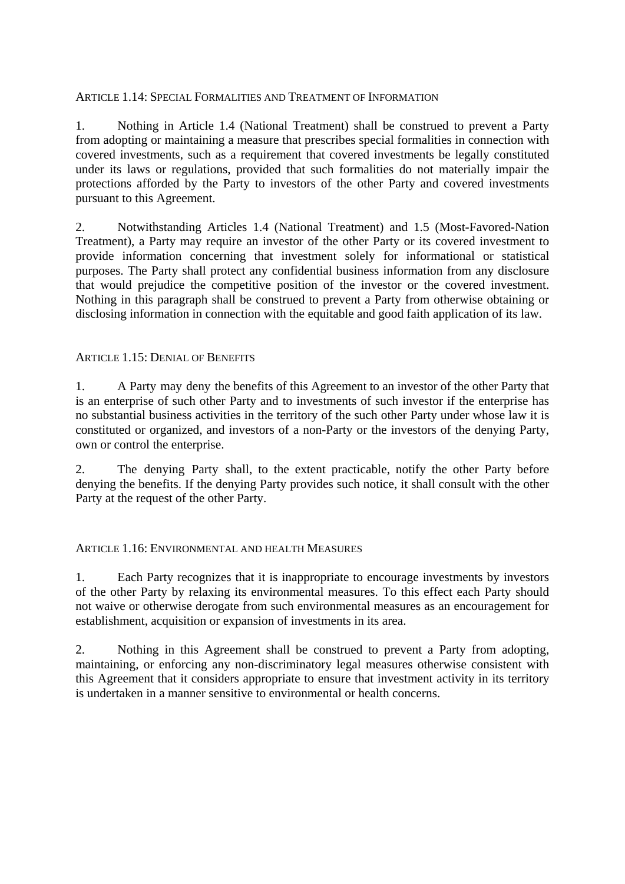## ARTICLE 1.14: SPECIAL FORMALITIES AND TREATMENT OF INFORMATION

1. Nothing in Article 1.4 (National Treatment) shall be construed to prevent a Party from adopting or maintaining a measure that prescribes special formalities in connection with covered investments, such as a requirement that covered investments be legally constituted under its laws or regulations, provided that such formalities do not materially impair the protections afforded by the Party to investors of the other Party and covered investments pursuant to this Agreement.

2. Notwithstanding Articles 1.4 (National Treatment) and 1.5 (Most-Favored-Nation Treatment), a Party may require an investor of the other Party or its covered investment to provide information concerning that investment solely for informational or statistical purposes. The Party shall protect any confidential business information from any disclosure that would prejudice the competitive position of the investor or the covered investment. Nothing in this paragraph shall be construed to prevent a Party from otherwise obtaining or disclosing information in connection with the equitable and good faith application of its law.

# ARTICLE 1.15: DENIAL OF BENEFITS

1. A Party may deny the benefits of this Agreement to an investor of the other Party that is an enterprise of such other Party and to investments of such investor if the enterprise has no substantial business activities in the territory of the such other Party under whose law it is constituted or organized, and investors of a non-Party or the investors of the denying Party, own or control the enterprise.

2. The denying Party shall, to the extent practicable, notify the other Party before denying the benefits. If the denying Party provides such notice, it shall consult with the other Party at the request of the other Party.

#### ARTICLE 1.16: ENVIRONMENTAL AND HEALTH MEASURES

1. Each Party recognizes that it is inappropriate to encourage investments by investors of the other Party by relaxing its environmental measures. To this effect each Party should not waive or otherwise derogate from such environmental measures as an encouragement for establishment, acquisition or expansion of investments in its area.

2. Nothing in this Agreement shall be construed to prevent a Party from adopting, maintaining, or enforcing any non-discriminatory legal measures otherwise consistent with this Agreement that it considers appropriate to ensure that investment activity in its territory is undertaken in a manner sensitive to environmental or health concerns.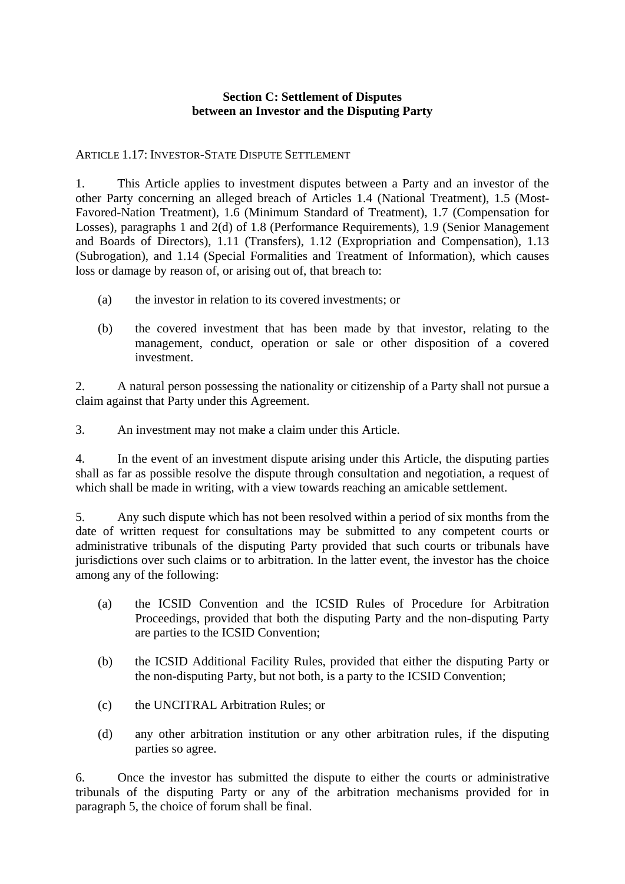# **Section C: Settlement of Disputes between an Investor and the Disputing Party**

# ARTICLE 1.17: INVESTOR-STATE DISPUTE SETTLEMENT

1. This Article applies to investment disputes between a Party and an investor of the other Party concerning an alleged breach of Articles 1.4 (National Treatment), 1.5 (Most-Favored-Nation Treatment), 1.6 (Minimum Standard of Treatment), 1.7 (Compensation for Losses), paragraphs 1 and 2(d) of 1.8 (Performance Requirements), 1.9 (Senior Management and Boards of Directors), 1.11 (Transfers), 1.12 (Expropriation and Compensation), 1.13 (Subrogation), and 1.14 (Special Formalities and Treatment of Information), which causes loss or damage by reason of, or arising out of, that breach to:

- (a) the investor in relation to its covered investments; or
- (b) the covered investment that has been made by that investor, relating to the management, conduct, operation or sale or other disposition of a covered investment.

2. A natural person possessing the nationality or citizenship of a Party shall not pursue a claim against that Party under this Agreement.

3. An investment may not make a claim under this Article.

4. In the event of an investment dispute arising under this Article, the disputing parties shall as far as possible resolve the dispute through consultation and negotiation, a request of which shall be made in writing, with a view towards reaching an amicable settlement.

5. Any such dispute which has not been resolved within a period of six months from the date of written request for consultations may be submitted to any competent courts or administrative tribunals of the disputing Party provided that such courts or tribunals have jurisdictions over such claims or to arbitration. In the latter event, the investor has the choice among any of the following:

- (a) the ICSID Convention and the ICSID Rules of Procedure for Arbitration Proceedings, provided that both the disputing Party and the non-disputing Party are parties to the ICSID Convention;
- (b) the ICSID Additional Facility Rules, provided that either the disputing Party or the non-disputing Party, but not both, is a party to the ICSID Convention;
- (c) the UNCITRAL Arbitration Rules; or
- (d) any other arbitration institution or any other arbitration rules, if the disputing parties so agree.

6. Once the investor has submitted the dispute to either the courts or administrative tribunals of the disputing Party or any of the arbitration mechanisms provided for in paragraph 5, the choice of forum shall be final.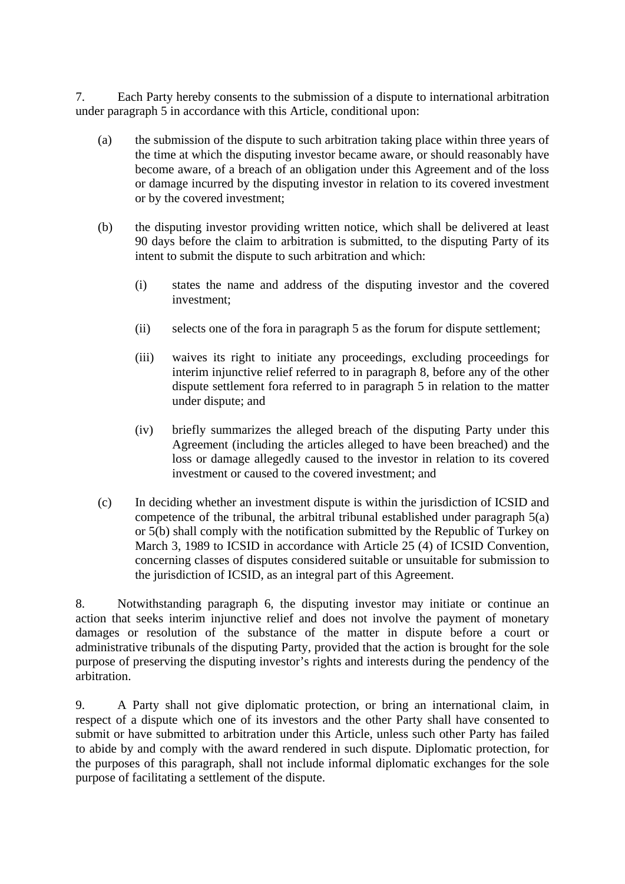7. Each Party hereby consents to the submission of a dispute to international arbitration under paragraph 5 in accordance with this Article, conditional upon:

- (a) the submission of the dispute to such arbitration taking place within three years of the time at which the disputing investor became aware, or should reasonably have become aware, of a breach of an obligation under this Agreement and of the loss or damage incurred by the disputing investor in relation to its covered investment or by the covered investment;
- (b) the disputing investor providing written notice, which shall be delivered at least 90 days before the claim to arbitration is submitted, to the disputing Party of its intent to submit the dispute to such arbitration and which:
	- (i) states the name and address of the disputing investor and the covered investment;
	- (ii) selects one of the fora in paragraph 5 as the forum for dispute settlement;
	- (iii) waives its right to initiate any proceedings, excluding proceedings for interim injunctive relief referred to in paragraph 8, before any of the other dispute settlement fora referred to in paragraph 5 in relation to the matter under dispute; and
	- (iv) briefly summarizes the alleged breach of the disputing Party under this Agreement (including the articles alleged to have been breached) and the loss or damage allegedly caused to the investor in relation to its covered investment or caused to the covered investment; and
- (c) In deciding whether an investment dispute is within the jurisdiction of ICSID and competence of the tribunal, the arbitral tribunal established under paragraph 5(a) or 5(b) shall comply with the notification submitted by the Republic of Turkey on March 3, 1989 to ICSID in accordance with Article 25 (4) of ICSID Convention, concerning classes of disputes considered suitable or unsuitable for submission to the jurisdiction of ICSID, as an integral part of this Agreement.

8. Notwithstanding paragraph 6, the disputing investor may initiate or continue an action that seeks interim injunctive relief and does not involve the payment of monetary damages or resolution of the substance of the matter in dispute before a court or administrative tribunals of the disputing Party, provided that the action is brought for the sole purpose of preserving the disputing investor's rights and interests during the pendency of the arbitration.

9. A Party shall not give diplomatic protection, or bring an international claim, in respect of a dispute which one of its investors and the other Party shall have consented to submit or have submitted to arbitration under this Article, unless such other Party has failed to abide by and comply with the award rendered in such dispute. Diplomatic protection, for the purposes of this paragraph, shall not include informal diplomatic exchanges for the sole purpose of facilitating a settlement of the dispute.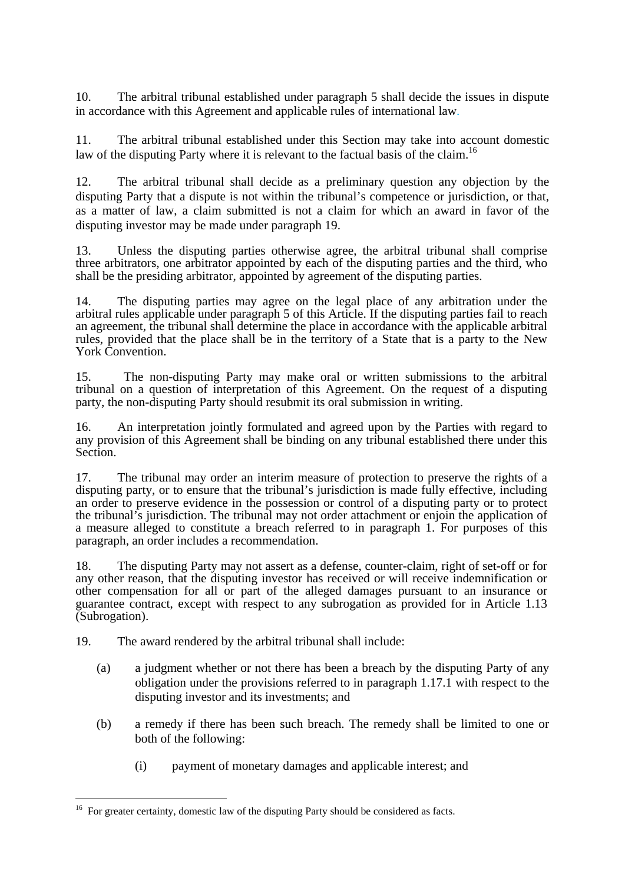10. The arbitral tribunal established under paragraph 5 shall decide the issues in dispute in accordance with this Agreement and applicable rules of international law.

11. The arbitral tribunal established under this Section may take into account domestic law of the disputing Party where it is relevant to the factual basis of the claim.<sup>16</sup>

12. The arbitral tribunal shall decide as a preliminary question any objection by the disputing Party that a dispute is not within the tribunal's competence or jurisdiction, or that, as a matter of law, a claim submitted is not a claim for which an award in favor of the disputing investor may be made under paragraph 19.

13. Unless the disputing parties otherwise agree, the arbitral tribunal shall comprise three arbitrators, one arbitrator appointed by each of the disputing parties and the third, who shall be the presiding arbitrator, appointed by agreement of the disputing parties.

14. The disputing parties may agree on the legal place of any arbitration under the arbitral rules applicable under paragraph 5 of this Article. If the disputing parties fail to reach an agreement, the tribunal shall determine the place in accordance with the applicable arbitral rules, provided that the place shall be in the territory of a State that is a party to the New York Convention.

15. The non-disputing Party may make oral or written submissions to the arbitral tribunal on a question of interpretation of this Agreement. On the request of a disputing party, the non-disputing Party should resubmit its oral submission in writing.

16. An interpretation jointly formulated and agreed upon by the Parties with regard to any provision of this Agreement shall be binding on any tribunal established there under this Section.

17. The tribunal may order an interim measure of protection to preserve the rights of a disputing party, or to ensure that the tribunal's jurisdiction is made fully effective, including an order to preserve evidence in the possession or control of a disputing party or to protect the tribunal's jurisdiction. The tribunal may not order attachment or enjoin the application of a measure alleged to constitute a breach referred to in paragraph 1. For purposes of this paragraph, an order includes a recommendation.

18. The disputing Party may not assert as a defense, counter-claim, right of set-off or for any other reason, that the disputing investor has received or will receive indemnification or other compensation for all or part of the alleged damages pursuant to an insurance or guarantee contract, except with respect to any subrogation as provided for in Article 1.13 (Subrogation).

19. The award rendered by the arbitral tribunal shall include:

- (a) a judgment whether or not there has been a breach by the disputing Party of any obligation under the provisions referred to in paragraph 1.17.1 with respect to the disputing investor and its investments; and
- (b) a remedy if there has been such breach. The remedy shall be limited to one or both of the following:
	- (i) payment of monetary damages and applicable interest; and

<sup>1</sup> <sup>16</sup> For greater certainty, domestic law of the disputing Party should be considered as facts.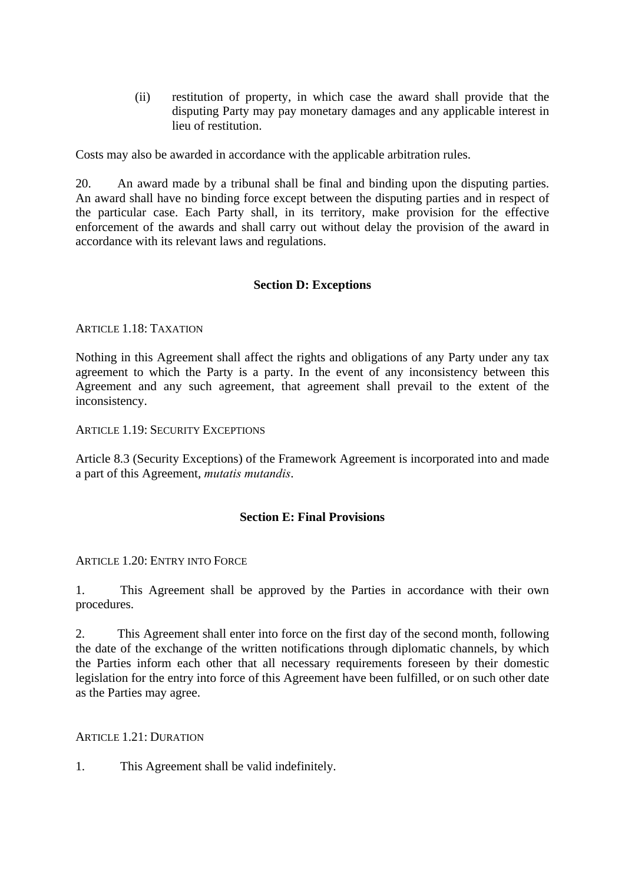(ii) restitution of property, in which case the award shall provide that the disputing Party may pay monetary damages and any applicable interest in lieu of restitution.

Costs may also be awarded in accordance with the applicable arbitration rules.

20. An award made by a tribunal shall be final and binding upon the disputing parties. An award shall have no binding force except between the disputing parties and in respect of the particular case. Each Party shall, in its territory, make provision for the effective enforcement of the awards and shall carry out without delay the provision of the award in accordance with its relevant laws and regulations.

# **Section D: Exceptions**

ARTICLE 1.18: TAXATION

Nothing in this Agreement shall affect the rights and obligations of any Party under any tax agreement to which the Party is a party. In the event of any inconsistency between this Agreement and any such agreement, that agreement shall prevail to the extent of the inconsistency.

ARTICLE 1.19: SECURITY EXCEPTIONS

Article 8.3 (Security Exceptions) of the Framework Agreement is incorporated into and made a part of this Agreement, *mutatis mutandis*.

#### **Section E: Final Provisions**

ARTICLE 1.20: ENTRY INTO FORCE

1. This Agreement shall be approved by the Parties in accordance with their own procedures.

2. This Agreement shall enter into force on the first day of the second month, following the date of the exchange of the written notifications through diplomatic channels, by which the Parties inform each other that all necessary requirements foreseen by their domestic legislation for the entry into force of this Agreement have been fulfilled, or on such other date as the Parties may agree.

ARTICLE 1.21: DURATION

1. This Agreement shall be valid indefinitely.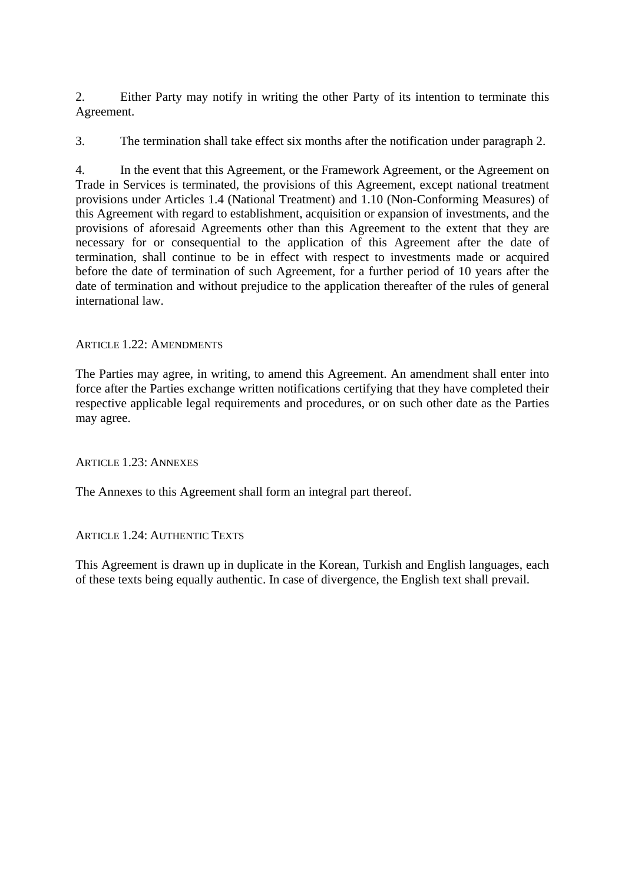2. Either Party may notify in writing the other Party of its intention to terminate this Agreement.

3. The termination shall take effect six months after the notification under paragraph 2.

4. In the event that this Agreement, or the Framework Agreement, or the Agreement on Trade in Services is terminated, the provisions of this Agreement, except national treatment provisions under Articles 1.4 (National Treatment) and 1.10 (Non-Conforming Measures) of this Agreement with regard to establishment, acquisition or expansion of investments, and the provisions of aforesaid Agreements other than this Agreement to the extent that they are necessary for or consequential to the application of this Agreement after the date of termination, shall continue to be in effect with respect to investments made or acquired before the date of termination of such Agreement, for a further period of 10 years after the date of termination and without prejudice to the application thereafter of the rules of general international law.

# ARTICLE 1.22: AMENDMENTS

The Parties may agree, in writing, to amend this Agreement. An amendment shall enter into force after the Parties exchange written notifications certifying that they have completed their respective applicable legal requirements and procedures, or on such other date as the Parties may agree.

ARTICLE 1.23: ANNEXES

The Annexes to this Agreement shall form an integral part thereof.

#### ARTICLE 1.24: AUTHENTIC TEXTS

This Agreement is drawn up in duplicate in the Korean, Turkish and English languages, each of these texts being equally authentic. In case of divergence, the English text shall prevail.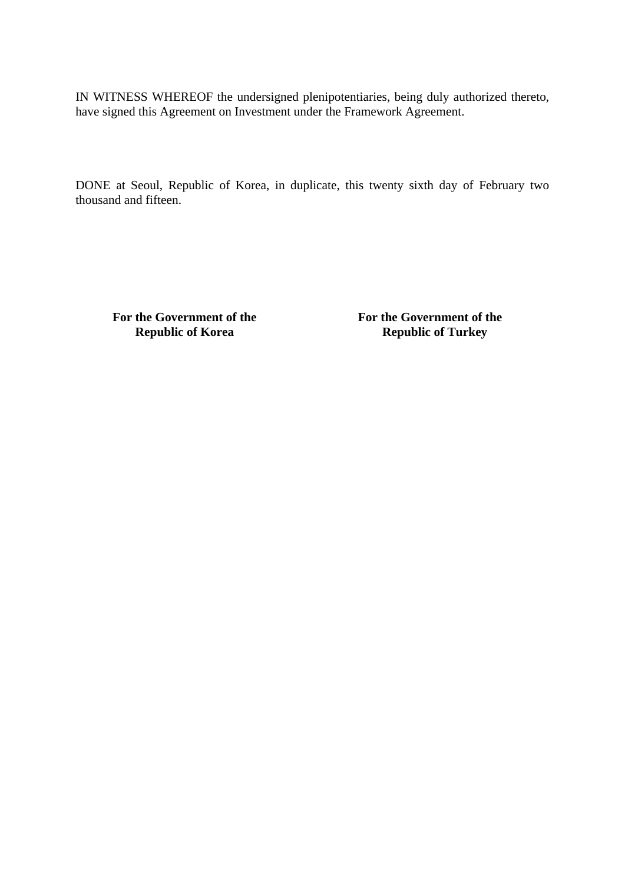IN WITNESS WHEREOF the undersigned plenipotentiaries, being duly authorized thereto, have signed this Agreement on Investment under the Framework Agreement.

DONE at Seoul, Republic of Korea, in duplicate, this twenty sixth day of February two thousand and fifteen.

**For the Government of the Republic of Korea** 

**For the Government of the Republic of Turkey**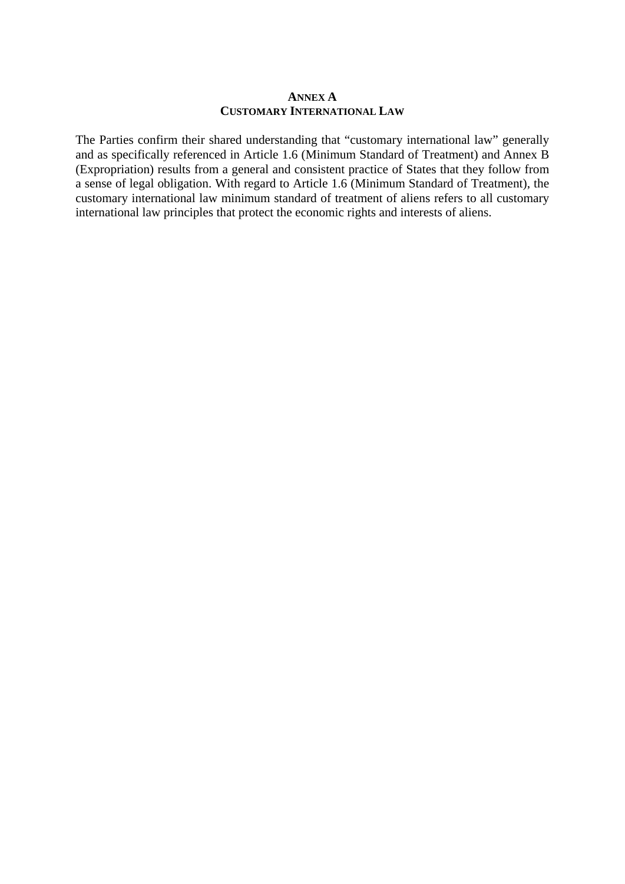#### **ANNEX A CUSTOMARY INTERNATIONAL LAW**

The Parties confirm their shared understanding that "customary international law" generally and as specifically referenced in Article 1.6 (Minimum Standard of Treatment) and Annex B (Expropriation) results from a general and consistent practice of States that they follow from a sense of legal obligation. With regard to Article 1.6 (Minimum Standard of Treatment), the customary international law minimum standard of treatment of aliens refers to all customary international law principles that protect the economic rights and interests of aliens.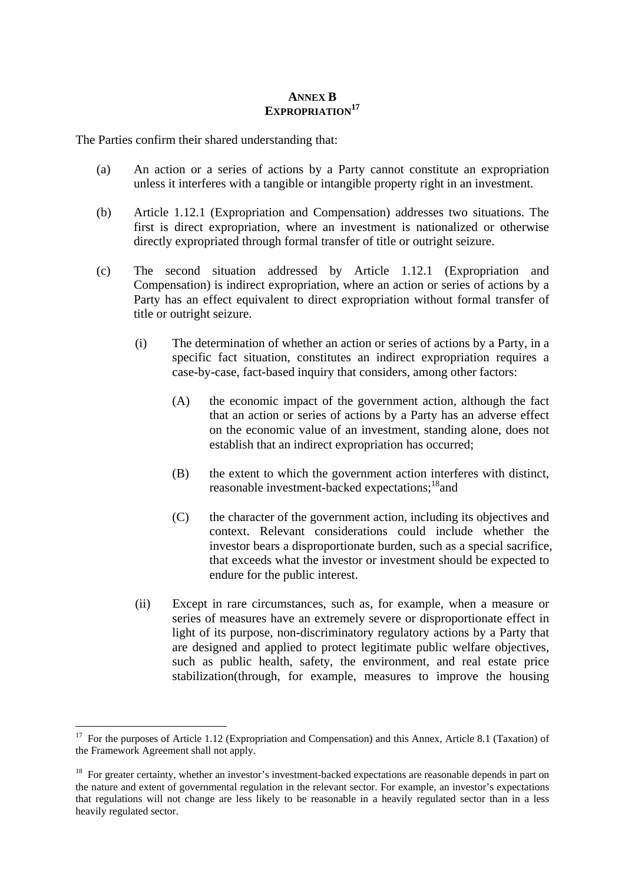### **ANNEX B EXPROPRIATION<sup>17</sup>**

The Parties confirm their shared understanding that:

- (a) An action or a series of actions by a Party cannot constitute an expropriation unless it interferes with a tangible or intangible property right in an investment.
- (b) Article 1.12.1 (Expropriation and Compensation) addresses two situations. The first is direct expropriation, where an investment is nationalized or otherwise directly expropriated through formal transfer of title or outright seizure.
- (c) The second situation addressed by Article 1.12.1 (Expropriation and Compensation) is indirect expropriation, where an action or series of actions by a Party has an effect equivalent to direct expropriation without formal transfer of title or outright seizure.
	- (i) The determination of whether an action or series of actions by a Party, in a specific fact situation, constitutes an indirect expropriation requires a case-by-case, fact-based inquiry that considers, among other factors:
		- (A) the economic impact of the government action, although the fact that an action or series of actions by a Party has an adverse effect on the economic value of an investment, standing alone, does not establish that an indirect expropriation has occurred;
		- (B) the extent to which the government action interferes with distinct, reasonable investment-backed expectations;<sup>18</sup>and
		- (C) the character of the government action, including its objectives and context. Relevant considerations could include whether the investor bears a disproportionate burden, such as a special sacrifice, that exceeds what the investor or investment should be expected to endure for the public interest.
	- (ii) Except in rare circumstances, such as, for example, when a measure or series of measures have an extremely severe or disproportionate effect in light of its purpose, non-discriminatory regulatory actions by a Party that are designed and applied to protect legitimate public welfare objectives, such as public health, safety, the environment, and real estate price stabilization(through, for example, measures to improve the housing

1

<sup>&</sup>lt;sup>17</sup> For the purposes of Article 1.12 (Expropriation and Compensation) and this Annex, Article 8.1 (Taxation) of the Framework Agreement shall not apply.

<sup>&</sup>lt;sup>18</sup> For greater certainty, whether an investor's investment-backed expectations are reasonable depends in part on the nature and extent of governmental regulation in the relevant sector. For example, an investor's expectations that regulations will not change are less likely to be reasonable in a heavily regulated sector than in a less heavily regulated sector.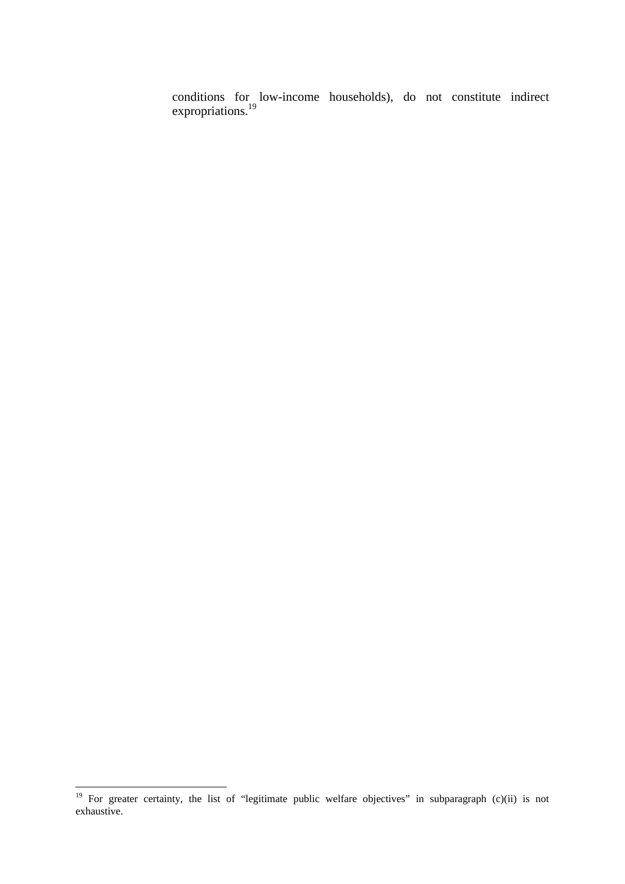conditions for low-income households), do not constitute indirect expropriations.<sup>19</sup>

<u>.</u>

<sup>&</sup>lt;sup>19</sup> For greater certainty, the list of "legitimate public welfare objectives" in subparagraph (c)(ii) is not exhaustive.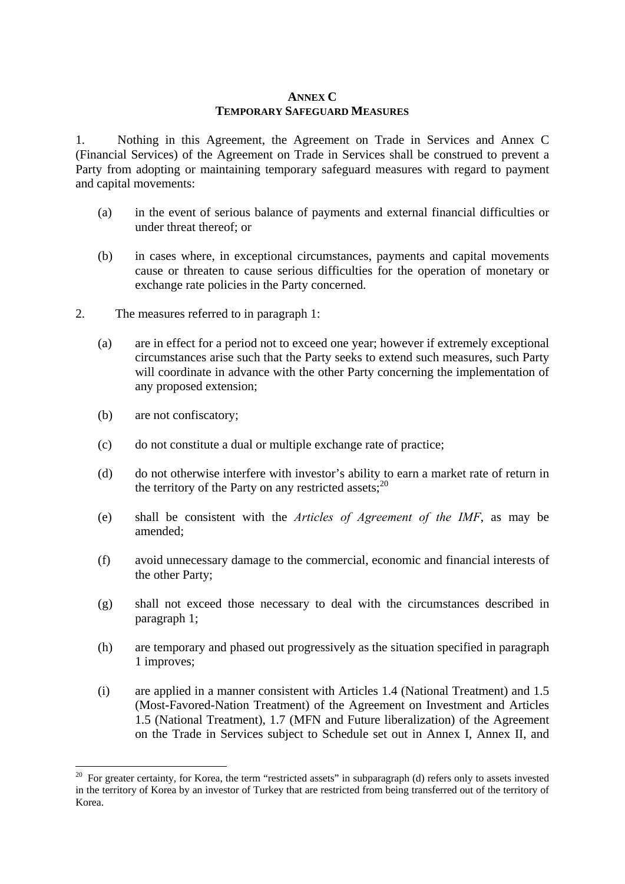#### **ANNEX C TEMPORARY SAFEGUARD MEASURES**

1. Nothing in this Agreement, the Agreement on Trade in Services and Annex C (Financial Services) of the Agreement on Trade in Services shall be construed to prevent a Party from adopting or maintaining temporary safeguard measures with regard to payment and capital movements:

- (a) in the event of serious balance of payments and external financial difficulties or under threat thereof; or
- (b) in cases where, in exceptional circumstances, payments and capital movements cause or threaten to cause serious difficulties for the operation of monetary or exchange rate policies in the Party concerned.
- 2. The measures referred to in paragraph 1:
	- (a) are in effect for a period not to exceed one year; however if extremely exceptional circumstances arise such that the Party seeks to extend such measures, such Party will coordinate in advance with the other Party concerning the implementation of any proposed extension;
	- (b) are not confiscatory;

1

- (c) do not constitute a dual or multiple exchange rate of practice;
- (d) do not otherwise interfere with investor's ability to earn a market rate of return in the territory of the Party on any restricted assets;  $20$
- (e) shall be consistent with the *Articles of Agreement of the IMF*, as may be amended;
- (f) avoid unnecessary damage to the commercial, economic and financial interests of the other Party;
- (g) shall not exceed those necessary to deal with the circumstances described in paragraph 1;
- (h) are temporary and phased out progressively as the situation specified in paragraph 1 improves;
- (i) are applied in a manner consistent with Articles 1.4 (National Treatment) and 1.5 (Most-Favored-Nation Treatment) of the Agreement on Investment and Articles 1.5 (National Treatment), 1.7 (MFN and Future liberalization) of the Agreement on the Trade in Services subject to Schedule set out in Annex I, Annex II, and

<sup>&</sup>lt;sup>20</sup> For greater certainty, for Korea, the term "restricted assets" in subparagraph (d) refers only to assets invested in the territory of Korea by an investor of Turkey that are restricted from being transferred out of the territory of Korea.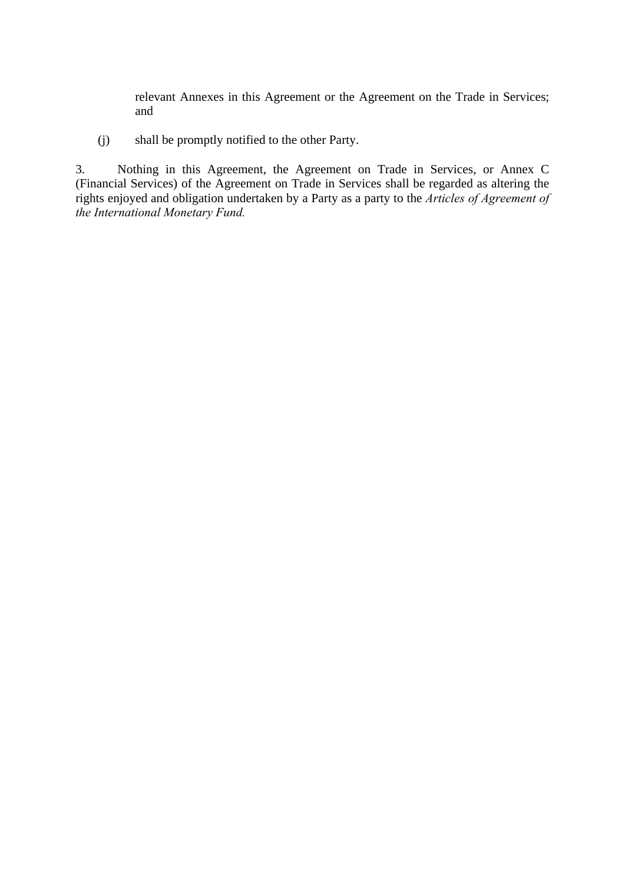relevant Annexes in this Agreement or the Agreement on the Trade in Services; and

(j) shall be promptly notified to the other Party.

3. Nothing in this Agreement, the Agreement on Trade in Services, or Annex C (Financial Services) of the Agreement on Trade in Services shall be regarded as altering the rights enjoyed and obligation undertaken by a Party as a party to the *Articles of Agreement of the International Monetary Fund.*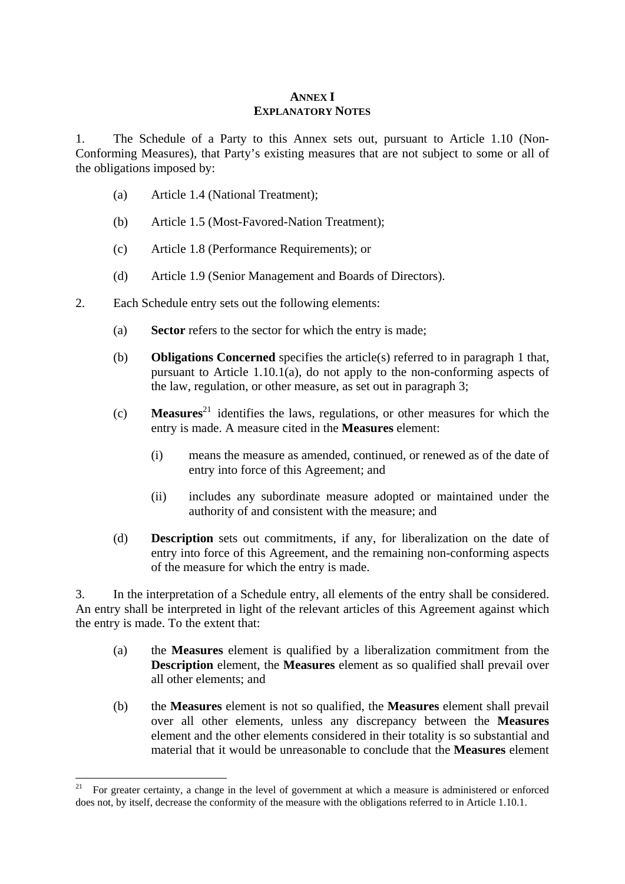# **ANNEX I EXPLANATORY NOTES**

1. The Schedule of a Party to this Annex sets out, pursuant to Article 1.10 (Non-Conforming Measures), that Party's existing measures that are not subject to some or all of the obligations imposed by:

- (a) Article 1.4 (National Treatment);
- (b) Article 1.5 (Most-Favored-Nation Treatment);
- (c) Article 1.8 (Performance Requirements); or
- (d) Article 1.9 (Senior Management and Boards of Directors).
- 2. Each Schedule entry sets out the following elements:
	- (a) **Sector** refers to the sector for which the entry is made;
	- (b) **Obligations Concerned** specifies the article(s) referred to in paragraph 1 that, pursuant to Article 1.10.1(a), do not apply to the non-conforming aspects of the law, regulation, or other measure, as set out in paragraph 3;
	- (c) **Measures**21 identifies the laws, regulations, or other measures for which the entry is made. A measure cited in the **Measures** element:
		- (i) means the measure as amended, continued, or renewed as of the date of entry into force of this Agreement; and
		- (ii) includes any subordinate measure adopted or maintained under the authority of and consistent with the measure; and
	- (d) **Description** sets out commitments, if any, for liberalization on the date of entry into force of this Agreement, and the remaining non-conforming aspects of the measure for which the entry is made.

3. In the interpretation of a Schedule entry, all elements of the entry shall be considered. An entry shall be interpreted in light of the relevant articles of this Agreement against which the entry is made. To the extent that:

- (a) the **Measures** element is qualified by a liberalization commitment from the **Description** element, the **Measures** element as so qualified shall prevail over all other elements; and
- (b) the **Measures** element is not so qualified, the **Measures** element shall prevail over all other elements, unless any discrepancy between the **Measures** element and the other elements considered in their totality is so substantial and material that it would be unreasonable to conclude that the **Measures** element

<sup>&</sup>lt;u>.</u> 21 For greater certainty, a change in the level of government at which a measure is administered or enforced does not, by itself, decrease the conformity of the measure with the obligations referred to in Article 1.10.1.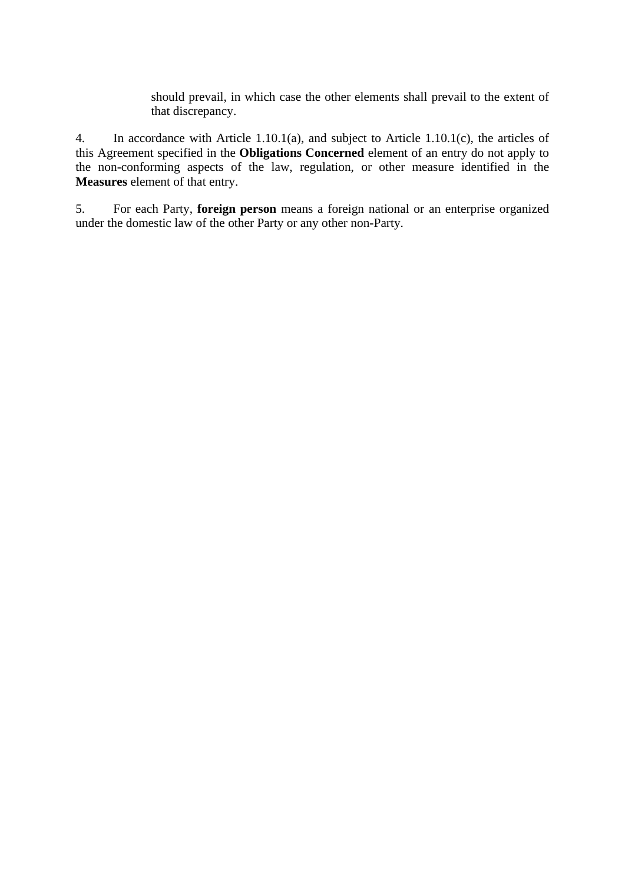should prevail, in which case the other elements shall prevail to the extent of that discrepancy.

4. In accordance with Article 1.10.1(a), and subject to Article 1.10.1(c), the articles of this Agreement specified in the **Obligations Concerned** element of an entry do not apply to the non-conforming aspects of the law, regulation, or other measure identified in the **Measures** element of that entry.

5. For each Party, **foreign person** means a foreign national or an enterprise organized under the domestic law of the other Party or any other non-Party.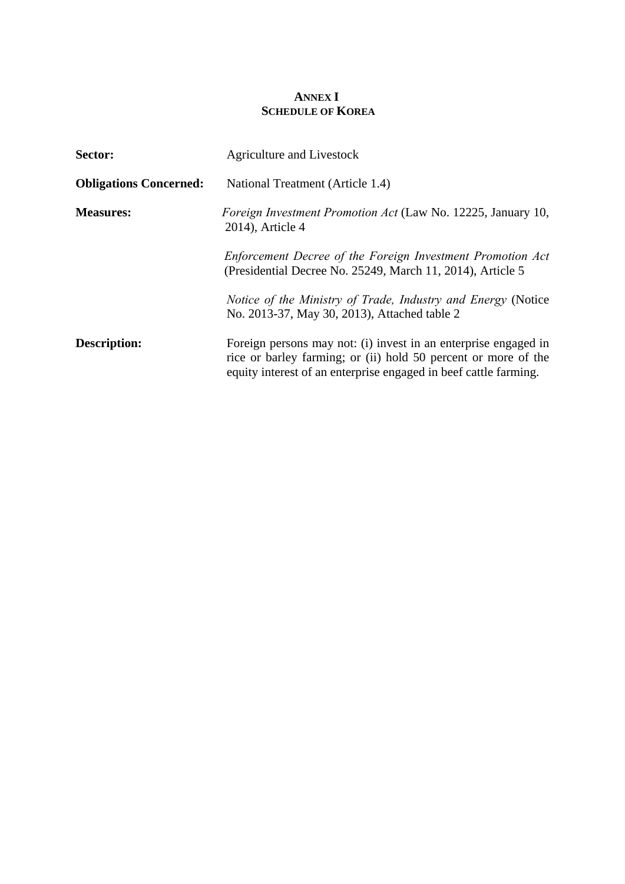# **ANNEX I SCHEDULE OF KOREA**

| Sector:                       | Agriculture and Livestock                                                                                                                                                                             |  |  |
|-------------------------------|-------------------------------------------------------------------------------------------------------------------------------------------------------------------------------------------------------|--|--|
| <b>Obligations Concerned:</b> | National Treatment (Article 1.4)                                                                                                                                                                      |  |  |
| <b>Measures:</b>              | Foreign Investment Promotion Act (Law No. 12225, January 10,<br>2014), Article 4                                                                                                                      |  |  |
|                               | Enforcement Decree of the Foreign Investment Promotion Act<br>(Presidential Decree No. 25249, March 11, 2014), Article 5                                                                              |  |  |
|                               | Notice of the Ministry of Trade, Industry and Energy (Notice<br>No. 2013-37, May 30, 2013), Attached table 2                                                                                          |  |  |
| Description:                  | Foreign persons may not: (i) invest in an enterprise engaged in<br>rice or barley farming; or (ii) hold 50 percent or more of the<br>equity interest of an enterprise engaged in beef cattle farming. |  |  |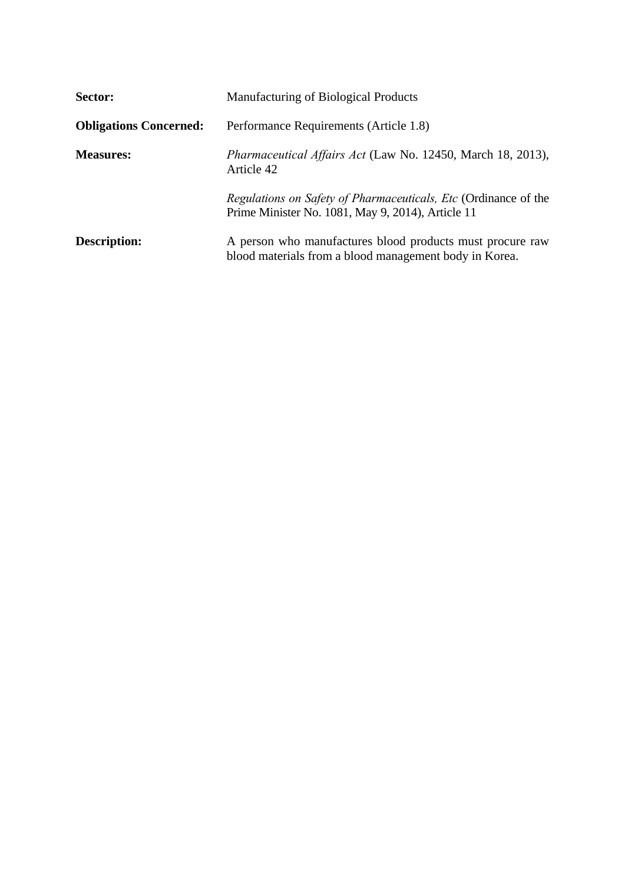| Sector:                       | Manufacturing of Biological Products                                                                                 |  |  |
|-------------------------------|----------------------------------------------------------------------------------------------------------------------|--|--|
| <b>Obligations Concerned:</b> | Performance Requirements (Article 1.8)                                                                               |  |  |
| <b>Measures:</b>              | Pharmaceutical Affairs Act (Law No. 12450, March 18, 2013),<br>Article 42                                            |  |  |
|                               | Regulations on Safety of Pharmaceuticals, Etc (Ordinance of the<br>Prime Minister No. 1081, May 9, 2014), Article 11 |  |  |
| <b>Description:</b>           | A person who manufactures blood products must procure raw<br>blood materials from a blood management body in Korea.  |  |  |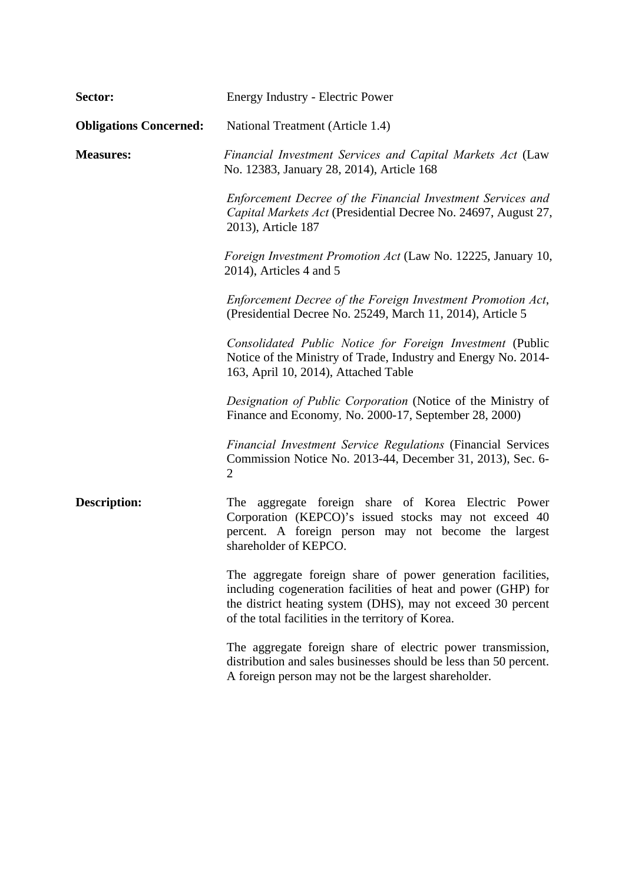| Sector:                       | Energy Industry - Electric Power                                                                                                                                                                                                                   |  |  |
|-------------------------------|----------------------------------------------------------------------------------------------------------------------------------------------------------------------------------------------------------------------------------------------------|--|--|
| <b>Obligations Concerned:</b> | National Treatment (Article 1.4)                                                                                                                                                                                                                   |  |  |
| <b>Measures:</b>              | Financial Investment Services and Capital Markets Act (Law<br>No. 12383, January 28, 2014), Article 168                                                                                                                                            |  |  |
|                               | Enforcement Decree of the Financial Investment Services and<br>Capital Markets Act (Presidential Decree No. 24697, August 27,<br>2013), Article 187                                                                                                |  |  |
|                               | Foreign Investment Promotion Act (Law No. 12225, January 10,<br>$2014$ ), Articles 4 and 5                                                                                                                                                         |  |  |
|                               | Enforcement Decree of the Foreign Investment Promotion Act,<br>(Presidential Decree No. 25249, March 11, 2014), Article 5                                                                                                                          |  |  |
|                               | Consolidated Public Notice for Foreign Investment (Public<br>Notice of the Ministry of Trade, Industry and Energy No. 2014-<br>163, April 10, 2014), Attached Table                                                                                |  |  |
|                               | Designation of Public Corporation (Notice of the Ministry of<br>Finance and Economy, No. 2000-17, September 28, 2000)                                                                                                                              |  |  |
|                               | <b>Financial Investment Service Regulations (Financial Services</b><br>Commission Notice No. 2013-44, December 31, 2013), Sec. 6-<br>$\overline{2}$                                                                                                |  |  |
| <b>Description:</b>           | aggregate foreign share of Korea Electric Power<br>The<br>Corporation (KEPCO)'s issued stocks may not exceed 40<br>percent. A foreign person may not become the largest<br>shareholder of KEPCO.                                                   |  |  |
|                               | The aggregate foreign share of power generation facilities,<br>including cogeneration facilities of heat and power (GHP) for<br>the district heating system (DHS), may not exceed 30 percent<br>of the total facilities in the territory of Korea. |  |  |
|                               | The aggregate foreign share of electric power transmission,<br>distribution and sales businesses should be less than 50 percent.<br>A foreign person may not be the largest shareholder.                                                           |  |  |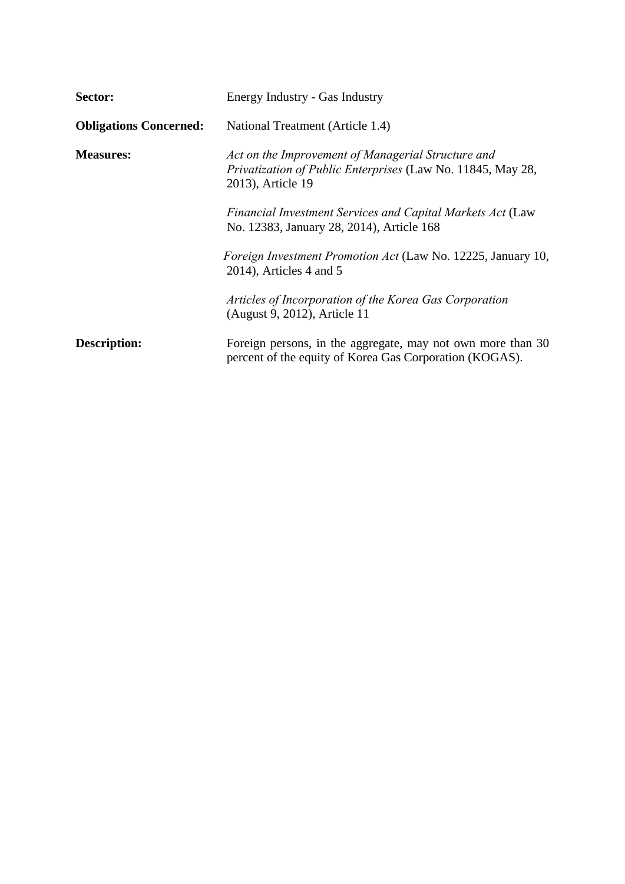| Sector:                       | Energy Industry - Gas Industry                                                                                                         |  |  |
|-------------------------------|----------------------------------------------------------------------------------------------------------------------------------------|--|--|
| <b>Obligations Concerned:</b> | National Treatment (Article 1.4)                                                                                                       |  |  |
| <b>Measures:</b>              | Act on the Improvement of Managerial Structure and<br>Privatization of Public Enterprises (Law No. 11845, May 28,<br>2013), Article 19 |  |  |
|                               | Financial Investment Services and Capital Markets Act (Law<br>No. 12383, January 28, 2014), Article 168                                |  |  |
|                               | Foreign Investment Promotion Act (Law No. 12225, January 10,<br>$2014$ ), Articles 4 and 5                                             |  |  |
|                               | Articles of Incorporation of the Korea Gas Corporation<br>(August 9, 2012), Article 11                                                 |  |  |
| <b>Description:</b>           | Foreign persons, in the aggregate, may not own more than 30<br>percent of the equity of Korea Gas Corporation (KOGAS).                 |  |  |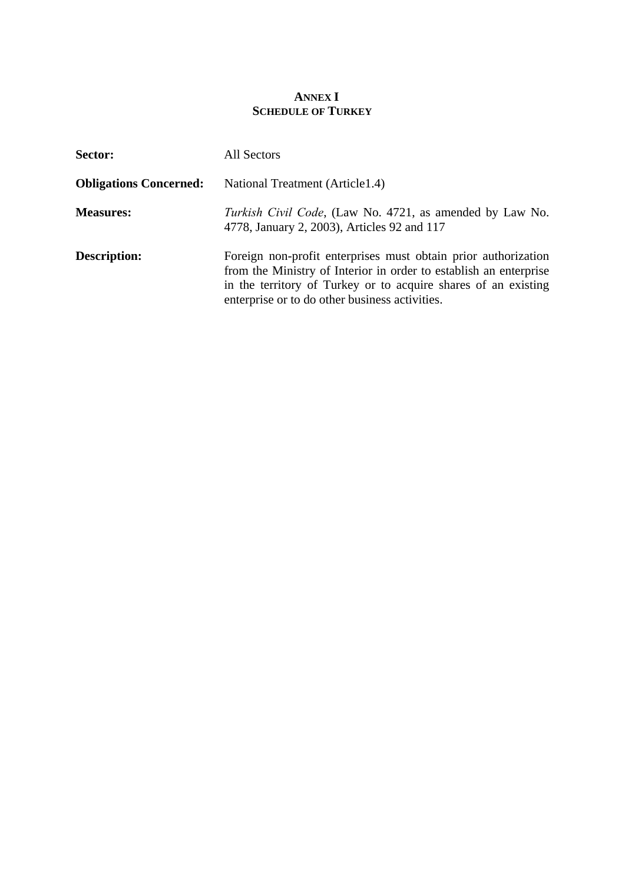# **ANNEX I SCHEDULE OF TURKEY**

| Sector:                       | All Sectors                                                                                                                                                                                                                                             |  |  |
|-------------------------------|---------------------------------------------------------------------------------------------------------------------------------------------------------------------------------------------------------------------------------------------------------|--|--|
| <b>Obligations Concerned:</b> | National Treatment (Article 1.4)                                                                                                                                                                                                                        |  |  |
| <b>Measures:</b>              | <i>Turkish Civil Code</i> , (Law No. 4721, as amended by Law No.<br>4778, January 2, 2003), Articles 92 and 117                                                                                                                                         |  |  |
| <b>Description:</b>           | Foreign non-profit enterprises must obtain prior authorization<br>from the Ministry of Interior in order to establish an enterprise<br>in the territory of Turkey or to acquire shares of an existing<br>enterprise or to do other business activities. |  |  |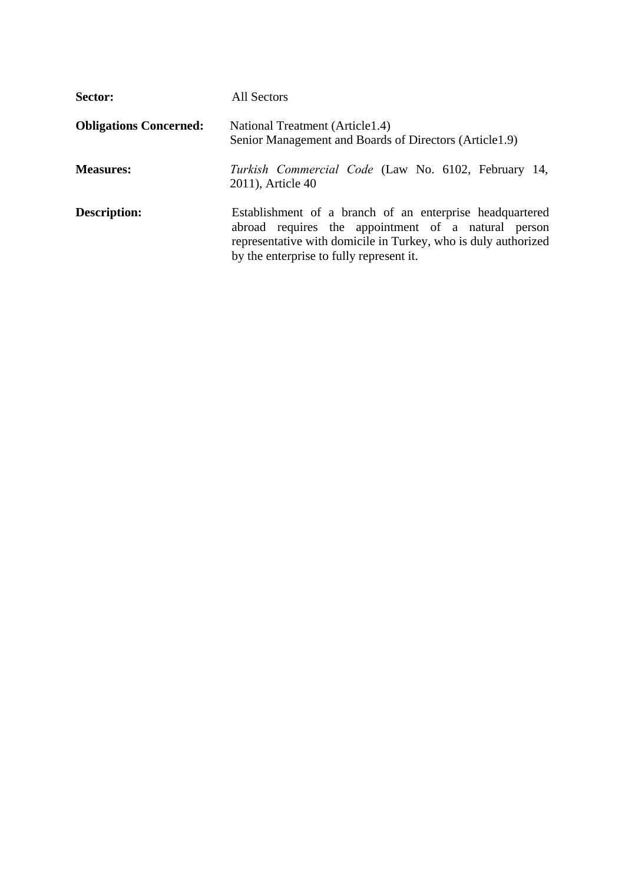| Sector:                       | All Sectors                                                                                                                                                                                                                   |  |  |
|-------------------------------|-------------------------------------------------------------------------------------------------------------------------------------------------------------------------------------------------------------------------------|--|--|
| <b>Obligations Concerned:</b> | National Treatment (Article 1.4)<br>Senior Management and Boards of Directors (Article1.9)                                                                                                                                    |  |  |
| <b>Measures:</b>              | Turkish Commercial Code (Law No. 6102, February 14,<br>2011), Article 40                                                                                                                                                      |  |  |
| <b>Description:</b>           | Establishment of a branch of an enterprise headquartered<br>abroad requires the appointment of a natural person<br>representative with domicile in Turkey, who is duly authorized<br>by the enterprise to fully represent it. |  |  |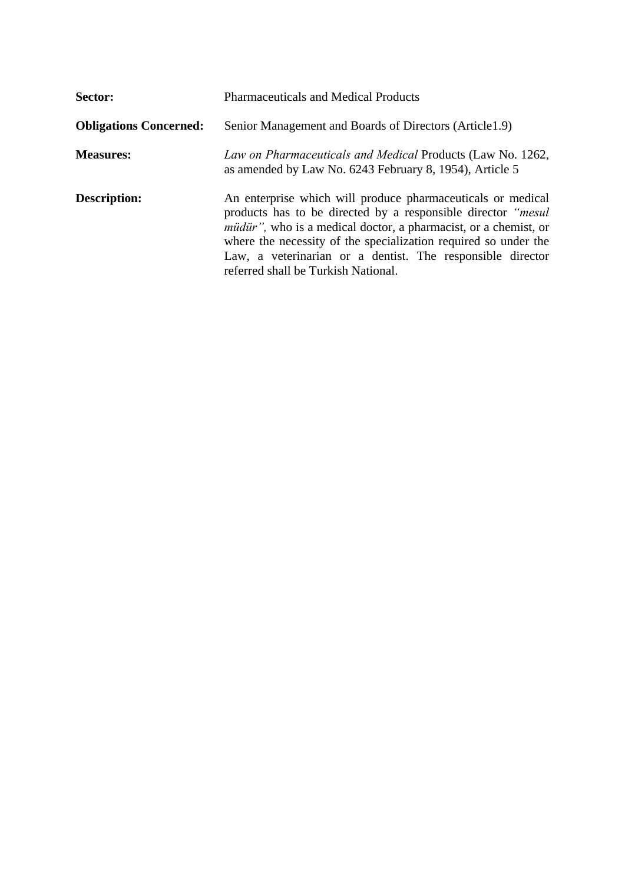| Sector:                       | <b>Pharmaceuticals and Medical Products</b>                                                                                                                                                                                                                                                                                                                                    |  |  |  |
|-------------------------------|--------------------------------------------------------------------------------------------------------------------------------------------------------------------------------------------------------------------------------------------------------------------------------------------------------------------------------------------------------------------------------|--|--|--|
| <b>Obligations Concerned:</b> | Senior Management and Boards of Directors (Article 1.9)                                                                                                                                                                                                                                                                                                                        |  |  |  |
| <b>Measures:</b>              | Law on Pharmaceuticals and Medical Products (Law No. 1262,<br>as amended by Law No. 6243 February 8, 1954), Article 5                                                                                                                                                                                                                                                          |  |  |  |
| <b>Description:</b>           | An enterprise which will produce pharmaceuticals or medical<br>products has to be directed by a responsible director "mesul<br><i>müdür</i> ", who is a medical doctor, a pharmacist, or a chemist, or<br>where the necessity of the specialization required so under the<br>Law, a veterinarian or a dentist. The responsible director<br>referred shall be Turkish National. |  |  |  |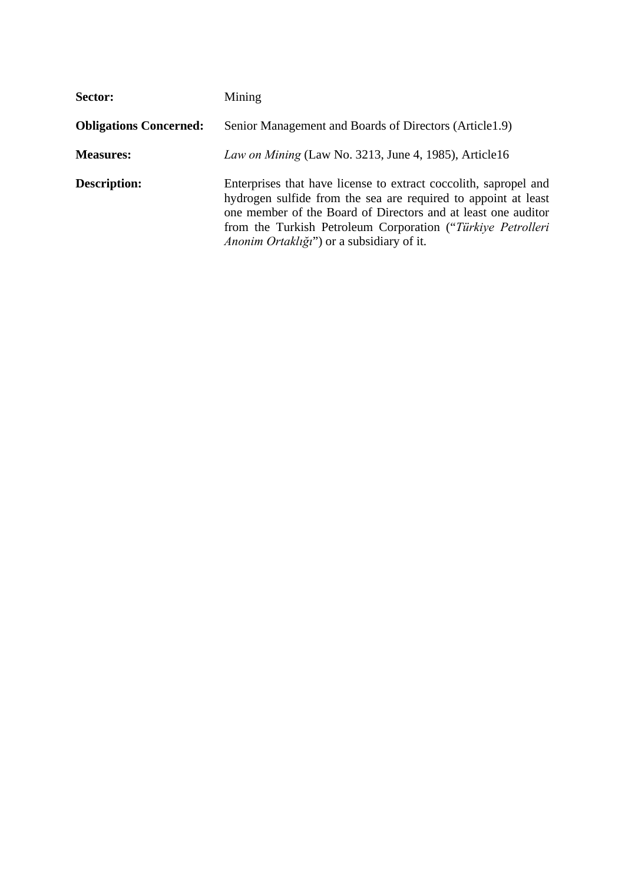| Sector:                       | Mining                                                                                                                                                                                                                                                                                                          |  |  |
|-------------------------------|-----------------------------------------------------------------------------------------------------------------------------------------------------------------------------------------------------------------------------------------------------------------------------------------------------------------|--|--|
| <b>Obligations Concerned:</b> | Senior Management and Boards of Directors (Article1.9)                                                                                                                                                                                                                                                          |  |  |
| <b>Measures:</b>              | Law on Mining (Law No. 3213, June 4, 1985), Article16                                                                                                                                                                                                                                                           |  |  |
| <b>Description:</b>           | Enterprises that have license to extract coccolith, sapropel and<br>hydrogen sulfide from the sea are required to appoint at least<br>one member of the Board of Directors and at least one auditor<br>from the Turkish Petroleum Corporation ("Türkiye Petrolleri<br>Anonim Ortaklığı") or a subsidiary of it. |  |  |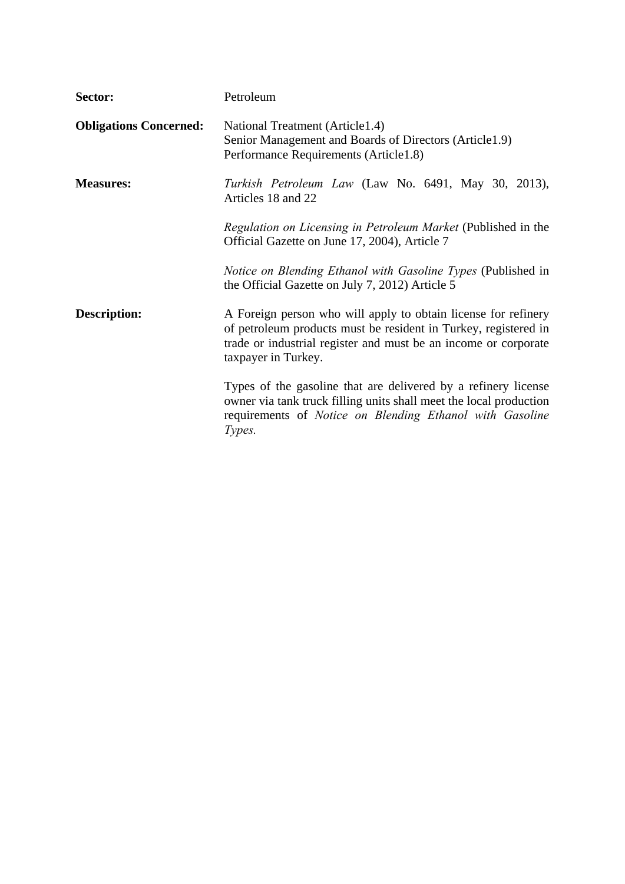| Sector:                       | Petroleum                                                                                                                                                                                                                   |  |  |  |
|-------------------------------|-----------------------------------------------------------------------------------------------------------------------------------------------------------------------------------------------------------------------------|--|--|--|
| <b>Obligations Concerned:</b> | National Treatment (Article1.4)<br>Senior Management and Boards of Directors (Article1.9)<br>Performance Requirements (Article1.8)                                                                                          |  |  |  |
| <b>Measures:</b>              | Turkish Petroleum Law (Law No. 6491, May 30, 2013),<br>Articles 18 and 22                                                                                                                                                   |  |  |  |
|                               | Regulation on Licensing in Petroleum Market (Published in the<br>Official Gazette on June 17, 2004), Article 7                                                                                                              |  |  |  |
|                               | Notice on Blending Ethanol with Gasoline Types (Published in<br>the Official Gazette on July 7, 2012) Article 5                                                                                                             |  |  |  |
| Description:                  | A Foreign person who will apply to obtain license for refinery<br>of petroleum products must be resident in Turkey, registered in<br>trade or industrial register and must be an income or corporate<br>taxpayer in Turkey. |  |  |  |
|                               | Types of the gasoline that are delivered by a refinery license<br>owner via tank truck filling units shall meet the local production<br>requirements of Notice on Blending Ethanol with Gasoline<br>Types.                  |  |  |  |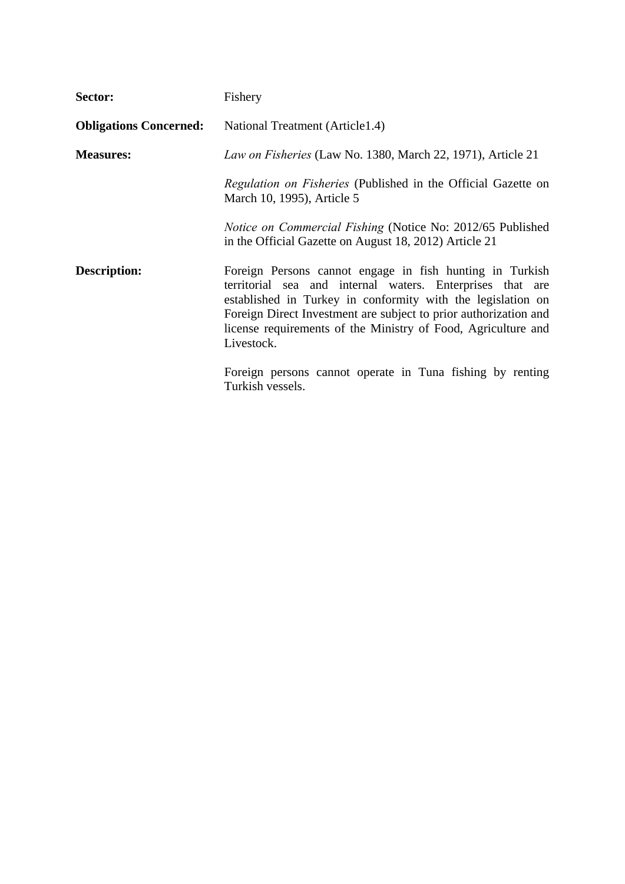| Sector:                       | Fishery                                                                                                                                                                                                                                                                                                                                 |  |  |  |
|-------------------------------|-----------------------------------------------------------------------------------------------------------------------------------------------------------------------------------------------------------------------------------------------------------------------------------------------------------------------------------------|--|--|--|
| <b>Obligations Concerned:</b> | National Treatment (Article 1.4)                                                                                                                                                                                                                                                                                                        |  |  |  |
| <b>Measures:</b>              | Law on Fisheries (Law No. 1380, March 22, 1971), Article 21                                                                                                                                                                                                                                                                             |  |  |  |
|                               | <i>Regulation on Fisheries</i> (Published in the Official Gazette on<br>March 10, 1995), Article 5                                                                                                                                                                                                                                      |  |  |  |
|                               | <i>Notice on Commercial Fishing</i> (Notice No: 2012/65 Published<br>in the Official Gazette on August 18, 2012) Article 21                                                                                                                                                                                                             |  |  |  |
| Description:                  | Foreign Persons cannot engage in fish hunting in Turkish<br>territorial sea and internal waters. Enterprises that are<br>established in Turkey in conformity with the legislation on<br>Foreign Direct Investment are subject to prior authorization and<br>license requirements of the Ministry of Food, Agriculture and<br>Livestock. |  |  |  |
|                               | Foreign persons cannot operate in Tuna fishing by renting<br>Turkish vessels.                                                                                                                                                                                                                                                           |  |  |  |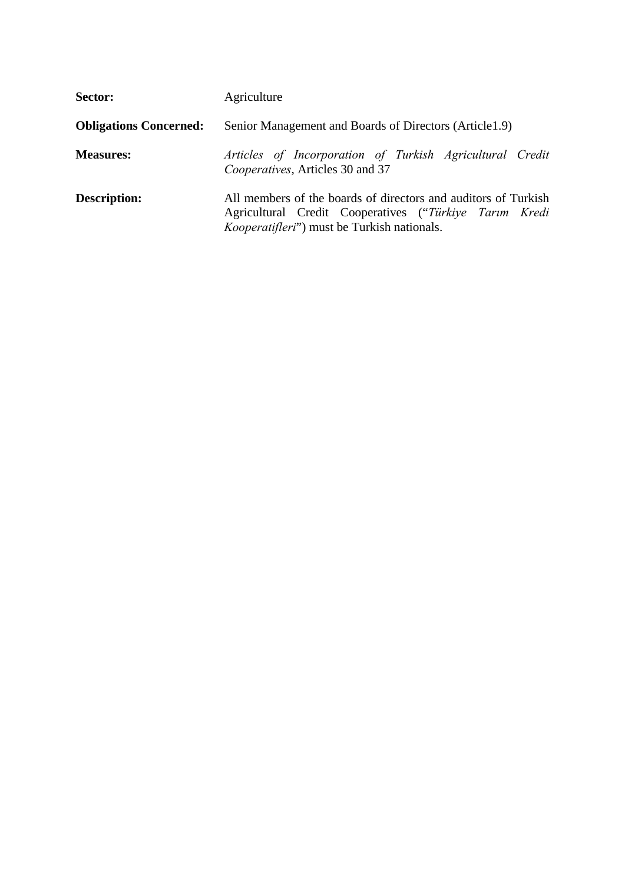| Sector:                       | Agriculture                                                                                                                                                                     |  |  |  |
|-------------------------------|---------------------------------------------------------------------------------------------------------------------------------------------------------------------------------|--|--|--|
| <b>Obligations Concerned:</b> | Senior Management and Boards of Directors (Article 1.9)                                                                                                                         |  |  |  |
| <b>Measures:</b>              | Articles of Incorporation of Turkish Agricultural Credit<br>Cooperatives, Articles 30 and 37                                                                                    |  |  |  |
| <b>Description:</b>           | All members of the boards of directors and auditors of Turkish<br>Agricultural Credit Cooperatives ("Türkiye Tarım Kredi<br><i>Kooperatifleri</i> ") must be Turkish nationals. |  |  |  |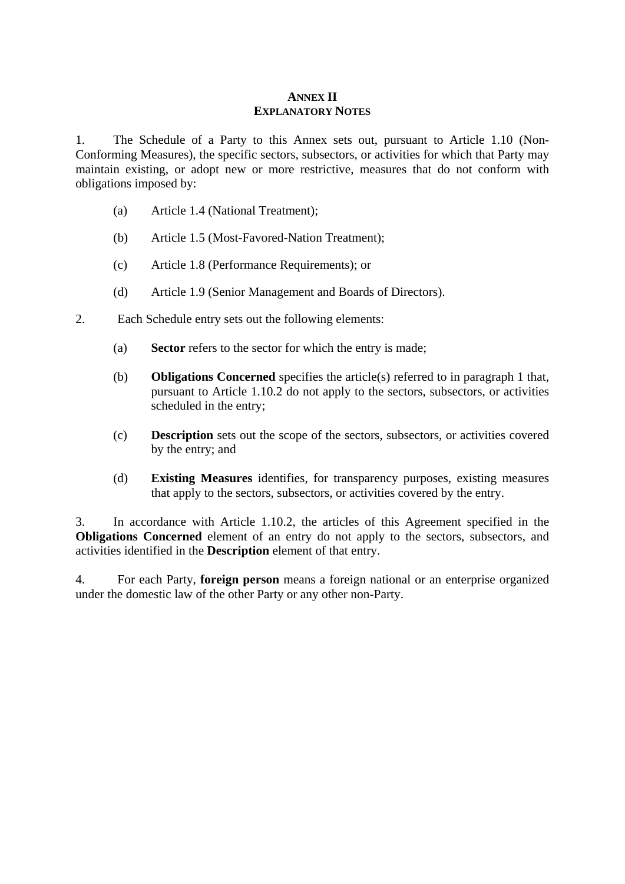## **ANNEX II EXPLANATORY NOTES**

1. The Schedule of a Party to this Annex sets out, pursuant to Article 1.10 (Non-Conforming Measures), the specific sectors, subsectors, or activities for which that Party may maintain existing, or adopt new or more restrictive, measures that do not conform with obligations imposed by:

- (a) Article 1.4 (National Treatment);
- (b) Article 1.5 (Most-Favored-Nation Treatment);
- (c) Article 1.8 (Performance Requirements); or
- (d) Article 1.9 (Senior Management and Boards of Directors).
- 2. Each Schedule entry sets out the following elements:
	- (a) **Sector** refers to the sector for which the entry is made;
	- (b) **Obligations Concerned** specifies the article(s) referred to in paragraph 1 that, pursuant to Article 1.10.2 do not apply to the sectors, subsectors, or activities scheduled in the entry;
	- (c) **Description** sets out the scope of the sectors, subsectors, or activities covered by the entry; and
	- (d) **Existing Measures** identifies, for transparency purposes, existing measures that apply to the sectors, subsectors, or activities covered by the entry.

3. In accordance with Article 1.10.2, the articles of this Agreement specified in the **Obligations Concerned** element of an entry do not apply to the sectors, subsectors, and activities identified in the **Description** element of that entry.

4. For each Party, **foreign person** means a foreign national or an enterprise organized under the domestic law of the other Party or any other non-Party.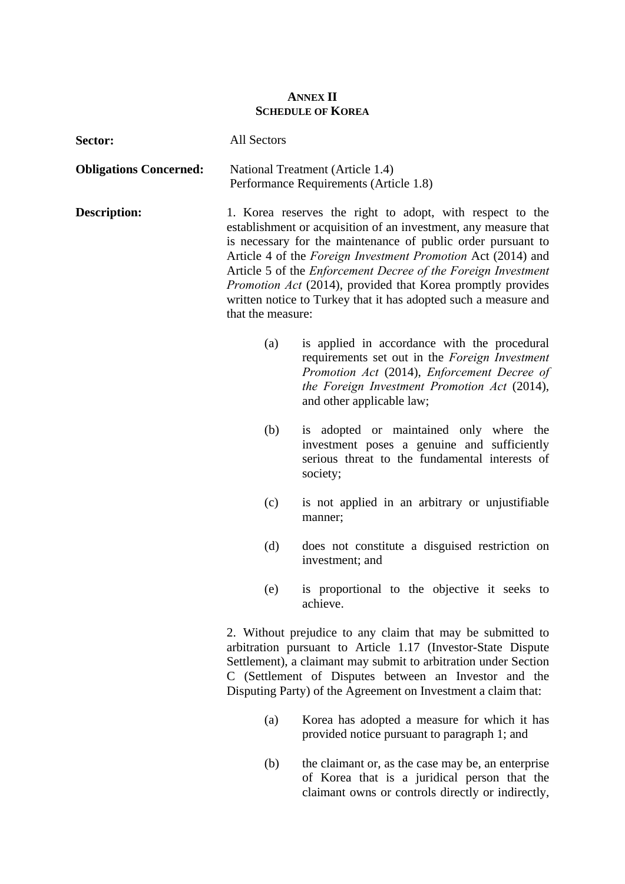## **ANNEX II SCHEDULE OF KOREA**

| Sector:                       | All Sectors                                                                                                                                                                                                                                                                                                                                                                                                                                                                                               |                                                                                                                                                                                                                            |  |
|-------------------------------|-----------------------------------------------------------------------------------------------------------------------------------------------------------------------------------------------------------------------------------------------------------------------------------------------------------------------------------------------------------------------------------------------------------------------------------------------------------------------------------------------------------|----------------------------------------------------------------------------------------------------------------------------------------------------------------------------------------------------------------------------|--|
| <b>Obligations Concerned:</b> | National Treatment (Article 1.4)<br>Performance Requirements (Article 1.8)                                                                                                                                                                                                                                                                                                                                                                                                                                |                                                                                                                                                                                                                            |  |
| <b>Description:</b>           | 1. Korea reserves the right to adopt, with respect to the<br>establishment or acquisition of an investment, any measure that<br>is necessary for the maintenance of public order pursuant to<br>Article 4 of the <i>Foreign Investment Promotion</i> Act (2014) and<br>Article 5 of the <i>Enforcement Decree of the Foreign Investment</i><br><i>Promotion Act</i> (2014), provided that Korea promptly provides<br>written notice to Turkey that it has adopted such a measure and<br>that the measure: |                                                                                                                                                                                                                            |  |
|                               | (a)                                                                                                                                                                                                                                                                                                                                                                                                                                                                                                       | is applied in accordance with the procedural<br>requirements set out in the Foreign Investment<br>Promotion Act (2014), Enforcement Decree of<br>the Foreign Investment Promotion Act (2014),<br>and other applicable law; |  |
|                               | (b)                                                                                                                                                                                                                                                                                                                                                                                                                                                                                                       | is adopted or maintained only where the<br>investment poses a genuine and sufficiently<br>serious threat to the fundamental interests of<br>society;                                                                       |  |
|                               | (c)                                                                                                                                                                                                                                                                                                                                                                                                                                                                                                       | is not applied in an arbitrary or unjustifiable<br>manner;                                                                                                                                                                 |  |
|                               | (d)                                                                                                                                                                                                                                                                                                                                                                                                                                                                                                       | does not constitute a disguised restriction on<br>investment; and                                                                                                                                                          |  |
|                               | (e)                                                                                                                                                                                                                                                                                                                                                                                                                                                                                                       | is proportional to the objective it seeks to<br>achieve.                                                                                                                                                                   |  |
|                               | 2. Without prejudice to any claim that may be submitted to<br>arbitration pursuant to Article 1.17 (Investor-State Dispute<br>Settlement), a claimant may submit to arbitration under Section<br>C (Settlement of Disputes between an Investor and the<br>Disputing Party) of the Agreement on Investment a claim that:                                                                                                                                                                                   |                                                                                                                                                                                                                            |  |
|                               | (a)                                                                                                                                                                                                                                                                                                                                                                                                                                                                                                       | Korea has adopted a measure for which it has<br>provided notice pursuant to paragraph 1; and                                                                                                                               |  |

 (b) the claimant or, as the case may be, an enterprise of Korea that is a juridical person that the claimant owns or controls directly or indirectly,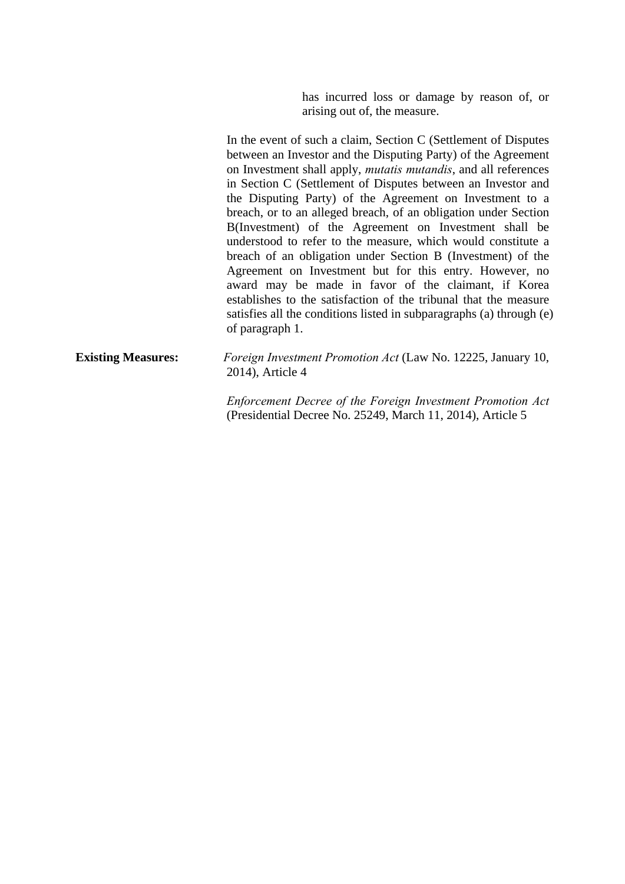has incurred loss or damage by reason of, or arising out of, the measure.

In the event of such a claim, Section C (Settlement of Disputes between an Investor and the Disputing Party) of the Agreement on Investment shall apply, *mutatis mutandis*, and all references in Section C (Settlement of Disputes between an Investor and the Disputing Party) of the Agreement on Investment to a breach, or to an alleged breach, of an obligation under Section B(Investment) of the Agreement on Investment shall be understood to refer to the measure, which would constitute a breach of an obligation under Section B (Investment) of the Agreement on Investment but for this entry. However, no award may be made in favor of the claimant, if Korea establishes to the satisfaction of the tribunal that the measure satisfies all the conditions listed in subparagraphs (a) through (e) of paragraph 1.

# **Existing Measures:** *Foreign Investment Promotion Act* (Law No. 12225, January 10, 2014), Article 4

 *Enforcement Decree of the Foreign Investment Promotion Act* (Presidential Decree No. 25249, March 11, 2014), Article 5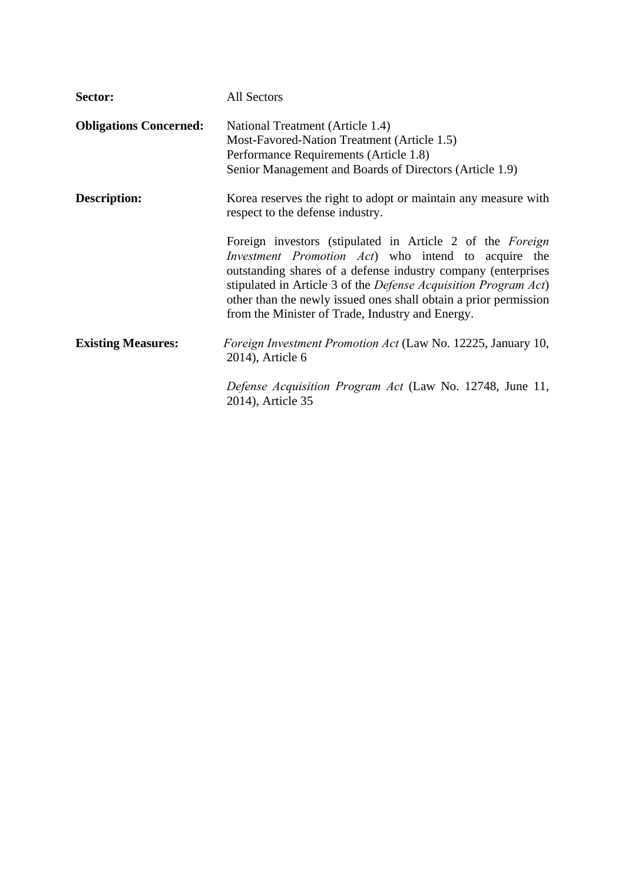| Sector:                       | All Sectors                                                                                                                                                                                                                                                                                                                                                                                  |
|-------------------------------|----------------------------------------------------------------------------------------------------------------------------------------------------------------------------------------------------------------------------------------------------------------------------------------------------------------------------------------------------------------------------------------------|
| <b>Obligations Concerned:</b> | National Treatment (Article 1.4)<br>Most-Favored-Nation Treatment (Article 1.5)<br>Performance Requirements (Article 1.8)<br>Senior Management and Boards of Directors (Article 1.9)                                                                                                                                                                                                         |
| Description:                  | Korea reserves the right to adopt or maintain any measure with<br>respect to the defense industry.                                                                                                                                                                                                                                                                                           |
|                               | Foreign investors (stipulated in Article 2 of the Foreign<br><i>Investment Promotion Act</i> ) who intend to acquire the<br>outstanding shares of a defense industry company (enterprises<br>stipulated in Article 3 of the <i>Defense Acquisition Program Act</i> )<br>other than the newly issued ones shall obtain a prior permission<br>from the Minister of Trade, Industry and Energy. |
| <b>Existing Measures:</b>     | <i>Foreign Investment Promotion Act</i> (Law No. 12225, January 10,<br>2014), Article 6                                                                                                                                                                                                                                                                                                      |
|                               | Defense Acquisition Program Act (Law No. 12748, June 11,<br>2014), Article 35                                                                                                                                                                                                                                                                                                                |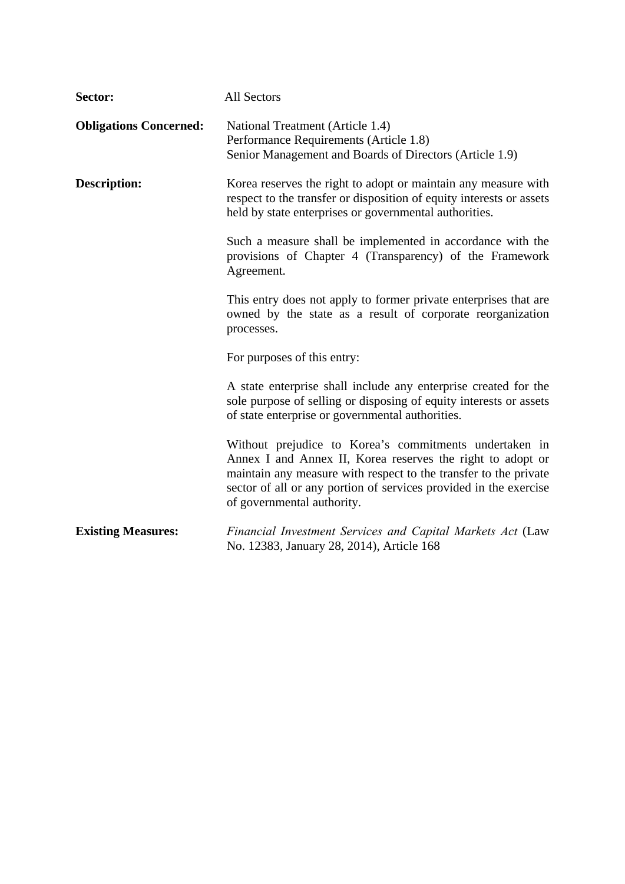| Sector:                       | All Sectors                                                                                                                                                                                                                                                                                 |  |
|-------------------------------|---------------------------------------------------------------------------------------------------------------------------------------------------------------------------------------------------------------------------------------------------------------------------------------------|--|
| <b>Obligations Concerned:</b> | National Treatment (Article 1.4)<br>Performance Requirements (Article 1.8)<br>Senior Management and Boards of Directors (Article 1.9)                                                                                                                                                       |  |
| <b>Description:</b>           | Korea reserves the right to adopt or maintain any measure with<br>respect to the transfer or disposition of equity interests or assets<br>held by state enterprises or governmental authorities.                                                                                            |  |
|                               | Such a measure shall be implemented in accordance with the<br>provisions of Chapter 4 (Transparency) of the Framework<br>Agreement.                                                                                                                                                         |  |
|                               | This entry does not apply to former private enterprises that are<br>owned by the state as a result of corporate reorganization<br>processes.                                                                                                                                                |  |
|                               | For purposes of this entry:                                                                                                                                                                                                                                                                 |  |
|                               | A state enterprise shall include any enterprise created for the<br>sole purpose of selling or disposing of equity interests or assets<br>of state enterprise or governmental authorities.                                                                                                   |  |
|                               | Without prejudice to Korea's commitments undertaken in<br>Annex I and Annex II, Korea reserves the right to adopt or<br>maintain any measure with respect to the transfer to the private<br>sector of all or any portion of services provided in the exercise<br>of governmental authority. |  |
| <b>Existing Measures:</b>     | Financial Investment Services and Capital Markets Act (Law<br>No. 12383, January 28, 2014), Article 168                                                                                                                                                                                     |  |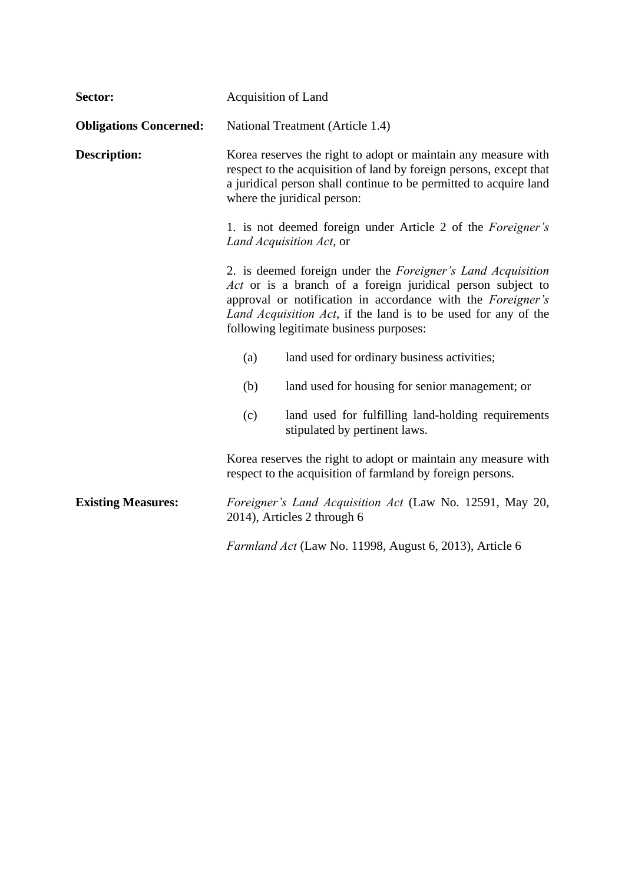| Sector:                       | Acquisition of Land                                                                                                                                                                                                                                                                                           |  |
|-------------------------------|---------------------------------------------------------------------------------------------------------------------------------------------------------------------------------------------------------------------------------------------------------------------------------------------------------------|--|
| <b>Obligations Concerned:</b> | National Treatment (Article 1.4)                                                                                                                                                                                                                                                                              |  |
| <b>Description:</b>           | Korea reserves the right to adopt or maintain any measure with<br>respect to the acquisition of land by foreign persons, except that<br>a juridical person shall continue to be permitted to acquire land<br>where the juridical person:                                                                      |  |
|                               | 1. is not deemed foreign under Article 2 of the <i>Foreigner's</i><br>Land Acquisition Act, or                                                                                                                                                                                                                |  |
|                               | 2. is deemed foreign under the <i>Foreigner's Land Acquisition</i><br>Act or is a branch of a foreign juridical person subject to<br>approval or notification in accordance with the Foreigner's<br>Land Acquisition Act, if the land is to be used for any of the<br>following legitimate business purposes: |  |
|                               | land used for ordinary business activities;<br>(a)                                                                                                                                                                                                                                                            |  |
|                               | (b)<br>land used for housing for senior management; or                                                                                                                                                                                                                                                        |  |
|                               | (c)<br>land used for fulfilling land-holding requirements<br>stipulated by pertinent laws.                                                                                                                                                                                                                    |  |
|                               | Korea reserves the right to adopt or maintain any measure with<br>respect to the acquisition of farmland by foreign persons.                                                                                                                                                                                  |  |
| <b>Existing Measures:</b>     | Foreigner's Land Acquisition Act (Law No. 12591, May 20,<br>2014), Articles 2 through 6                                                                                                                                                                                                                       |  |
|                               | Farmland Act (Law No. 11998, August 6, 2013), Article 6                                                                                                                                                                                                                                                       |  |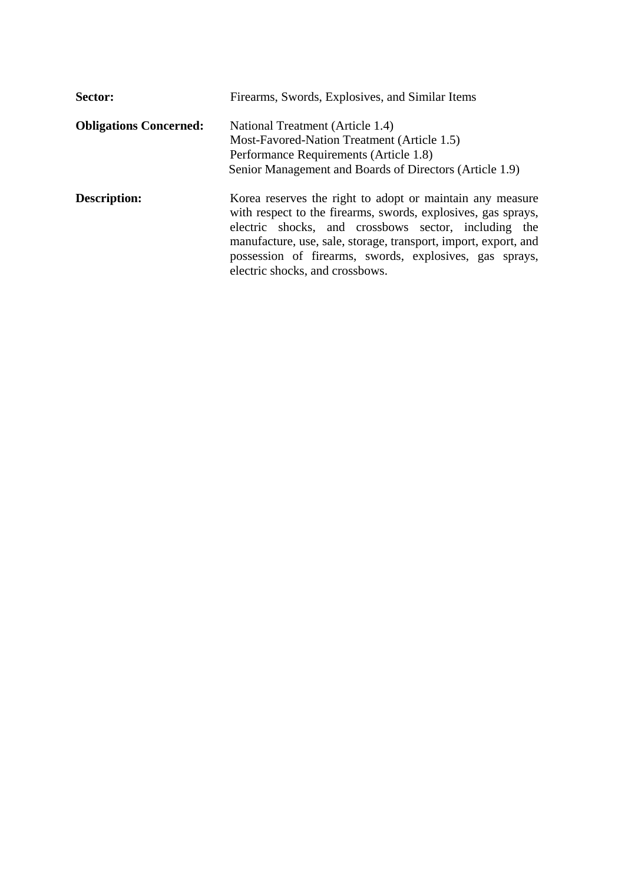| Sector:                       | Firearms, Swords, Explosives, and Similar Items                                                                                                                                                                                                                                                                                                     |  |
|-------------------------------|-----------------------------------------------------------------------------------------------------------------------------------------------------------------------------------------------------------------------------------------------------------------------------------------------------------------------------------------------------|--|
| <b>Obligations Concerned:</b> | National Treatment (Article 1.4)<br>Most-Favored-Nation Treatment (Article 1.5)<br>Performance Requirements (Article 1.8)                                                                                                                                                                                                                           |  |
|                               | Senior Management and Boards of Directors (Article 1.9)                                                                                                                                                                                                                                                                                             |  |
| <b>Description:</b>           | Korea reserves the right to adopt or maintain any measure<br>with respect to the firearms, swords, explosives, gas sprays,<br>electric shocks, and crossbows sector, including the<br>manufacture, use, sale, storage, transport, import, export, and<br>possession of firearms, swords, explosives, gas sprays,<br>electric shocks, and crossbows. |  |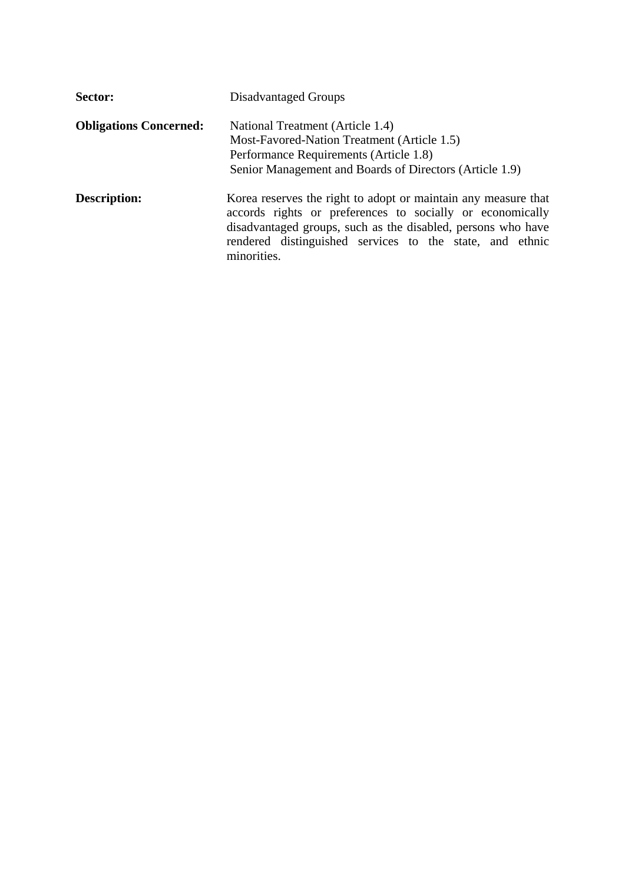| Sector:                       | Disadvantaged Groups                                                                                                                                                                                                                                                   |  |
|-------------------------------|------------------------------------------------------------------------------------------------------------------------------------------------------------------------------------------------------------------------------------------------------------------------|--|
| <b>Obligations Concerned:</b> | National Treatment (Article 1.4)<br>Most-Favored-Nation Treatment (Article 1.5)<br>Performance Requirements (Article 1.8)<br>Senior Management and Boards of Directors (Article 1.9)                                                                                   |  |
| <b>Description:</b>           | Korea reserves the right to adopt or maintain any measure that<br>accords rights or preferences to socially or economically<br>disadvantaged groups, such as the disabled, persons who have<br>rendered distinguished services to the state, and ethnic<br>minorities. |  |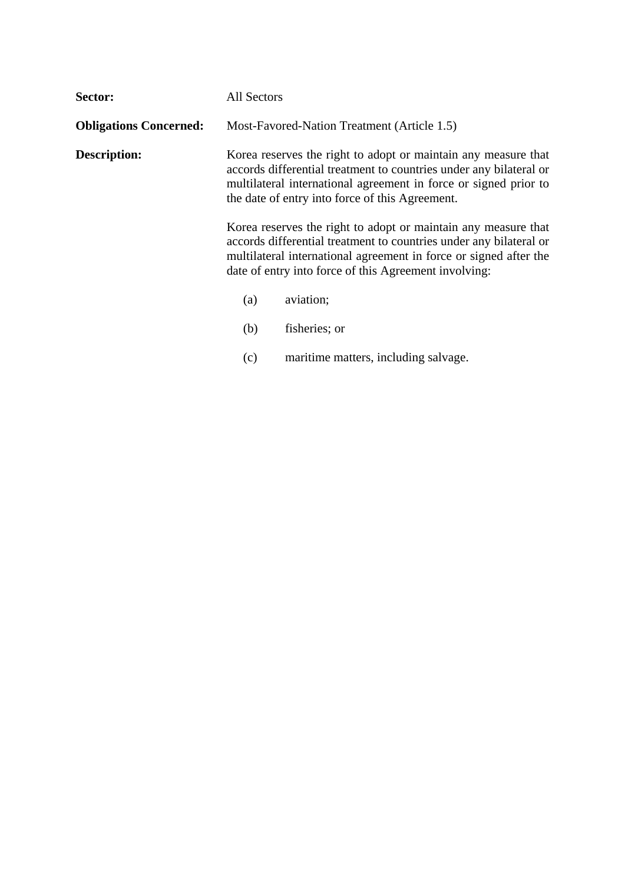| Sector:                       | All Sectors                                                                                                                                                                                                                                                 |                                                                                                                                                                                                                                                                    |
|-------------------------------|-------------------------------------------------------------------------------------------------------------------------------------------------------------------------------------------------------------------------------------------------------------|--------------------------------------------------------------------------------------------------------------------------------------------------------------------------------------------------------------------------------------------------------------------|
| <b>Obligations Concerned:</b> |                                                                                                                                                                                                                                                             | Most-Favored-Nation Treatment (Article 1.5)                                                                                                                                                                                                                        |
| <b>Description:</b>           | Korea reserves the right to adopt or maintain any measure that<br>accords differential treatment to countries under any bilateral or<br>multilateral international agreement in force or signed prior to<br>the date of entry into force of this Agreement. |                                                                                                                                                                                                                                                                    |
|                               |                                                                                                                                                                                                                                                             | Korea reserves the right to adopt or maintain any measure that<br>accords differential treatment to countries under any bilateral or<br>multilateral international agreement in force or signed after the<br>date of entry into force of this Agreement involving: |
|                               | (a)                                                                                                                                                                                                                                                         | aviation;                                                                                                                                                                                                                                                          |
|                               | (b)                                                                                                                                                                                                                                                         | fisheries; or                                                                                                                                                                                                                                                      |
|                               | (c)                                                                                                                                                                                                                                                         | maritime matters, including salvage.                                                                                                                                                                                                                               |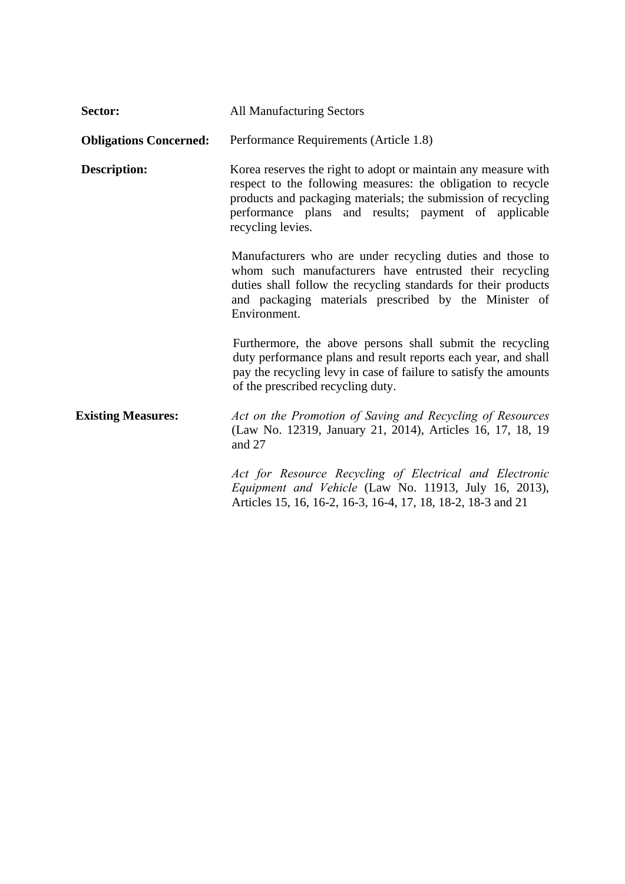| Sector:                       | <b>All Manufacturing Sectors</b>                                                                                                                                                                                                                                             |
|-------------------------------|------------------------------------------------------------------------------------------------------------------------------------------------------------------------------------------------------------------------------------------------------------------------------|
| <b>Obligations Concerned:</b> | Performance Requirements (Article 1.8)                                                                                                                                                                                                                                       |
| <b>Description:</b>           | Korea reserves the right to adopt or maintain any measure with<br>respect to the following measures: the obligation to recycle<br>products and packaging materials; the submission of recycling<br>performance plans and results; payment of applicable<br>recycling levies. |
|                               | Manufacturers who are under recycling duties and those to<br>whom such manufacturers have entrusted their recycling<br>duties shall follow the recycling standards for their products<br>and packaging materials prescribed by the Minister of<br>Environment.               |
|                               | Furthermore, the above persons shall submit the recycling<br>duty performance plans and result reports each year, and shall<br>pay the recycling levy in case of failure to satisfy the amounts<br>of the prescribed recycling duty.                                         |
| <b>Existing Measures:</b>     | Act on the Promotion of Saving and Recycling of Resources<br>(Law No. 12319, January 21, 2014), Articles 16, 17, 18, 19<br>and 27                                                                                                                                            |
|                               | Act for Resource Recycling of Electrical and Electronic<br>Equipment and Vehicle (Law No. 11913, July 16, 2013),<br>Articles 15, 16, 16-2, 16-3, 16-4, 17, 18, 18-2, 18-3 and 21                                                                                             |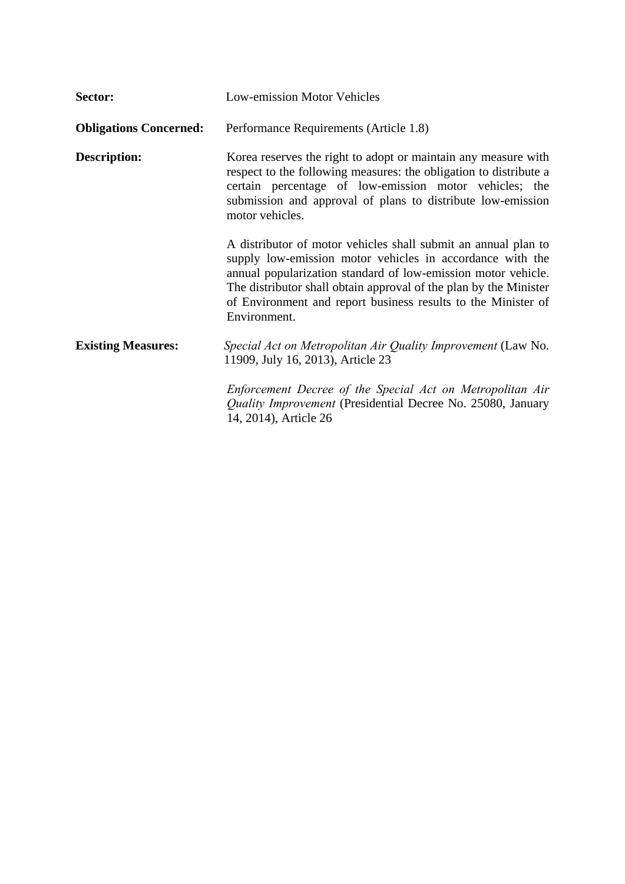| Sector:                       | <b>Low-emission Motor Vehicles</b>                                                                                                                                                                                                                                                                                                                 |
|-------------------------------|----------------------------------------------------------------------------------------------------------------------------------------------------------------------------------------------------------------------------------------------------------------------------------------------------------------------------------------------------|
| <b>Obligations Concerned:</b> | Performance Requirements (Article 1.8)                                                                                                                                                                                                                                                                                                             |
| Description:                  | Korea reserves the right to adopt or maintain any measure with<br>respect to the following measures: the obligation to distribute a<br>certain percentage of low-emission motor vehicles; the<br>submission and approval of plans to distribute low-emission<br>motor vehicles.                                                                    |
|                               | A distributor of motor vehicles shall submit an annual plan to<br>supply low-emission motor vehicles in accordance with the<br>annual popularization standard of low-emission motor vehicle.<br>The distributor shall obtain approval of the plan by the Minister<br>of Environment and report business results to the Minister of<br>Environment. |
| <b>Existing Measures:</b>     | Special Act on Metropolitan Air Quality Improvement (Law No.<br>11909, July 16, 2013), Article 23                                                                                                                                                                                                                                                  |
|                               | Enforcement Decree of the Special Act on Metropolitan Air<br>Quality Improvement (Presidential Decree No. 25080, January<br>14, 2014), Article 26                                                                                                                                                                                                  |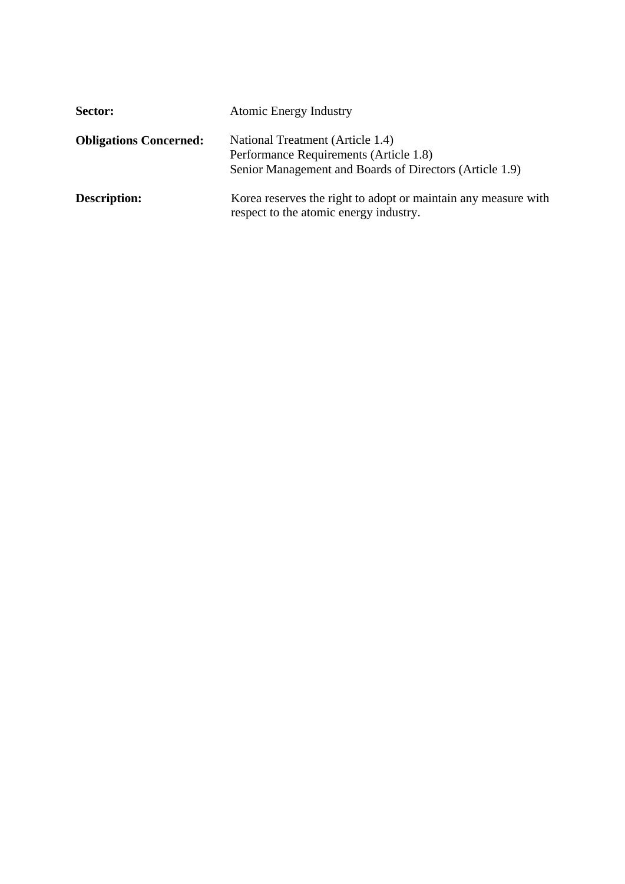| <b>Sector:</b>                | <b>Atomic Energy Industry</b>                                                                                                         |
|-------------------------------|---------------------------------------------------------------------------------------------------------------------------------------|
| <b>Obligations Concerned:</b> | National Treatment (Article 1.4)<br>Performance Requirements (Article 1.8)<br>Senior Management and Boards of Directors (Article 1.9) |
| <b>Description:</b>           | Korea reserves the right to adopt or maintain any measure with<br>respect to the atomic energy industry.                              |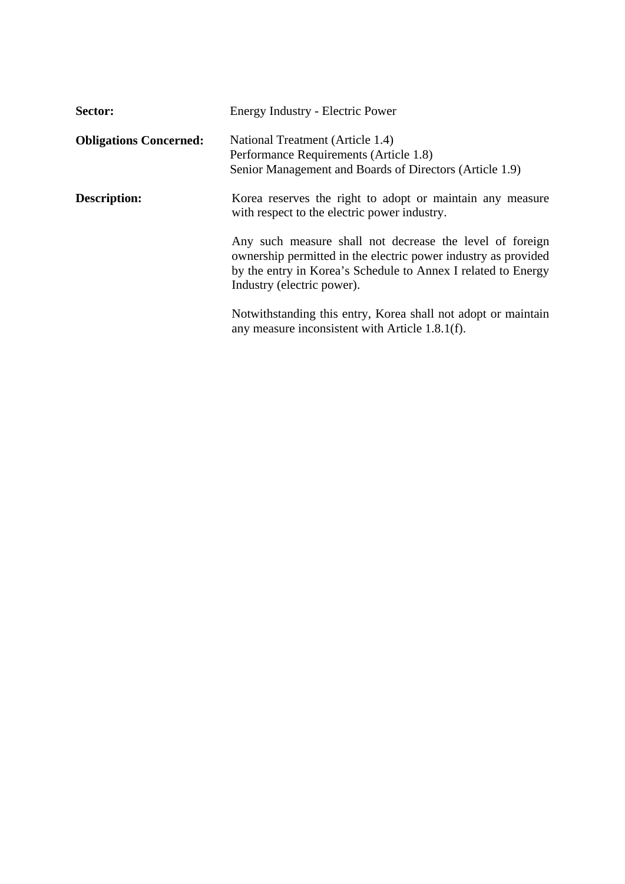| Sector:                       | Energy Industry - Electric Power                                                                                                                                                                                          |
|-------------------------------|---------------------------------------------------------------------------------------------------------------------------------------------------------------------------------------------------------------------------|
| <b>Obligations Concerned:</b> | National Treatment (Article 1.4)<br>Performance Requirements (Article 1.8)<br>Senior Management and Boards of Directors (Article 1.9)                                                                                     |
| <b>Description:</b>           | Korea reserves the right to adopt or maintain any measure<br>with respect to the electric power industry.                                                                                                                 |
|                               | Any such measure shall not decrease the level of foreign<br>ownership permitted in the electric power industry as provided<br>by the entry in Korea's Schedule to Annex I related to Energy<br>Industry (electric power). |
|                               | Notwithstanding this entry, Korea shall not adopt or maintain<br>any measure inconsistent with Article 1.8.1(f).                                                                                                          |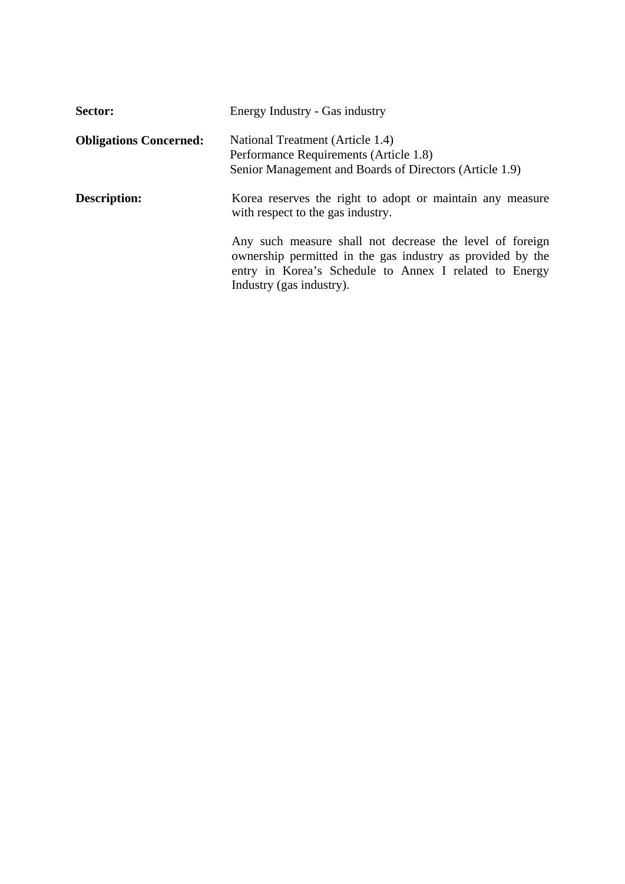| Sector:                       | Energy Industry - Gas industry                                                                                                                                                                               |
|-------------------------------|--------------------------------------------------------------------------------------------------------------------------------------------------------------------------------------------------------------|
| <b>Obligations Concerned:</b> | National Treatment (Article 1.4)<br>Performance Requirements (Article 1.8)<br>Senior Management and Boards of Directors (Article 1.9)                                                                        |
| <b>Description:</b>           | Korea reserves the right to adopt or maintain any measure<br>with respect to the gas industry.                                                                                                               |
|                               | Any such measure shall not decrease the level of foreign<br>ownership permitted in the gas industry as provided by the<br>entry in Korea's Schedule to Annex I related to Energy<br>Industry (gas industry). |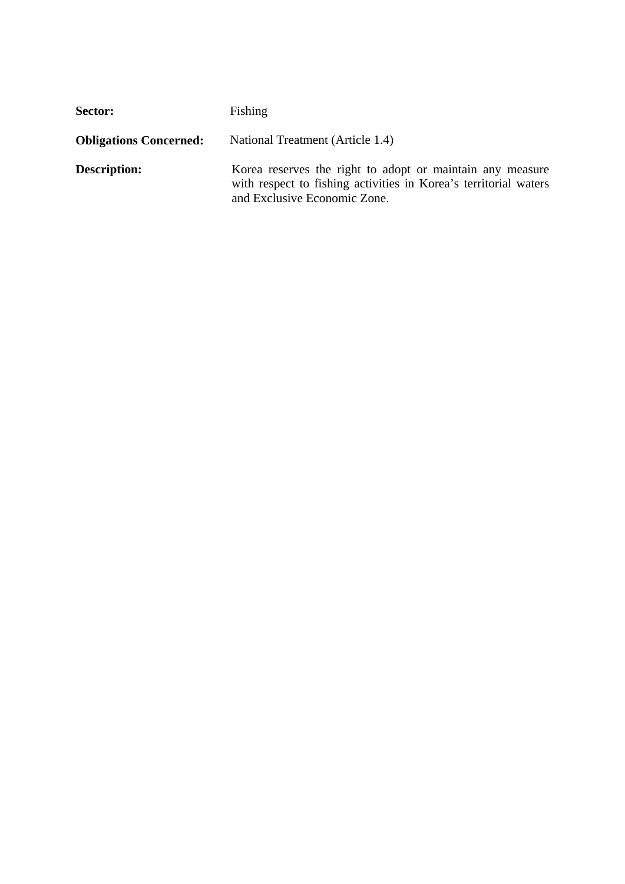| Sector:                       | Fishing                                                                                                                                                       |
|-------------------------------|---------------------------------------------------------------------------------------------------------------------------------------------------------------|
| <b>Obligations Concerned:</b> | National Treatment (Article 1.4)                                                                                                                              |
| <b>Description:</b>           | Korea reserves the right to adopt or maintain any measure<br>with respect to fishing activities in Korea's territorial waters<br>and Exclusive Economic Zone. |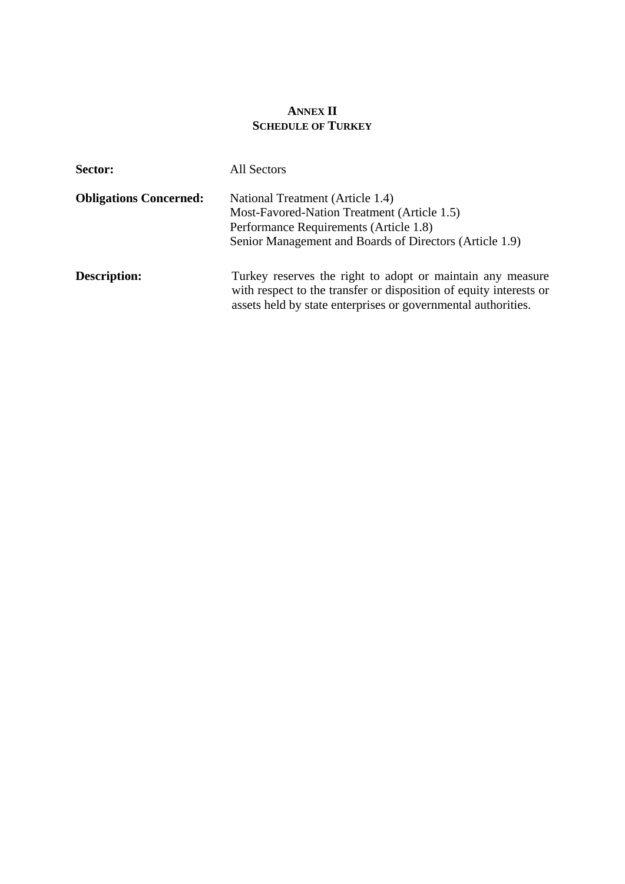# **ANNEX II SCHEDULE OF TURKEY**

| Sector:                       | All Sectors                                                                                                                                                                                       |
|-------------------------------|---------------------------------------------------------------------------------------------------------------------------------------------------------------------------------------------------|
| <b>Obligations Concerned:</b> | National Treatment (Article 1.4)<br>Most-Favored-Nation Treatment (Article 1.5)<br>Performance Requirements (Article 1.8)<br>Senior Management and Boards of Directors (Article 1.9)              |
| <b>Description:</b>           | Turkey reserves the right to adopt or maintain any measure<br>with respect to the transfer or disposition of equity interests or<br>assets held by state enterprises or governmental authorities. |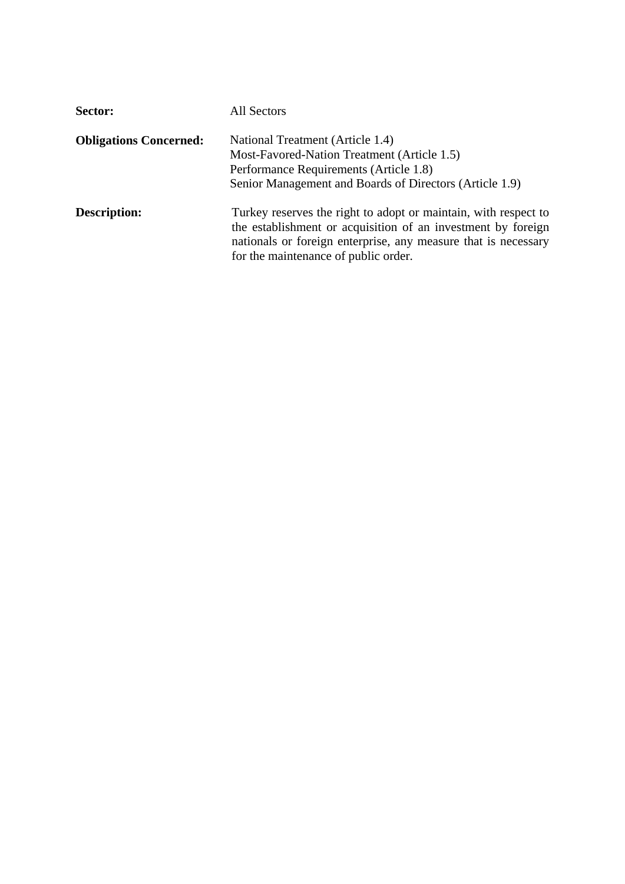| Sector:                       | All Sectors                                                                                                                                                                                                                               |
|-------------------------------|-------------------------------------------------------------------------------------------------------------------------------------------------------------------------------------------------------------------------------------------|
| <b>Obligations Concerned:</b> | National Treatment (Article 1.4)<br>Most-Favored-Nation Treatment (Article 1.5)<br>Performance Requirements (Article 1.8)<br>Senior Management and Boards of Directors (Article 1.9)                                                      |
| <b>Description:</b>           | Turkey reserves the right to adopt or maintain, with respect to<br>the establishment or acquisition of an investment by foreign<br>nationals or foreign enterprise, any measure that is necessary<br>for the maintenance of public order. |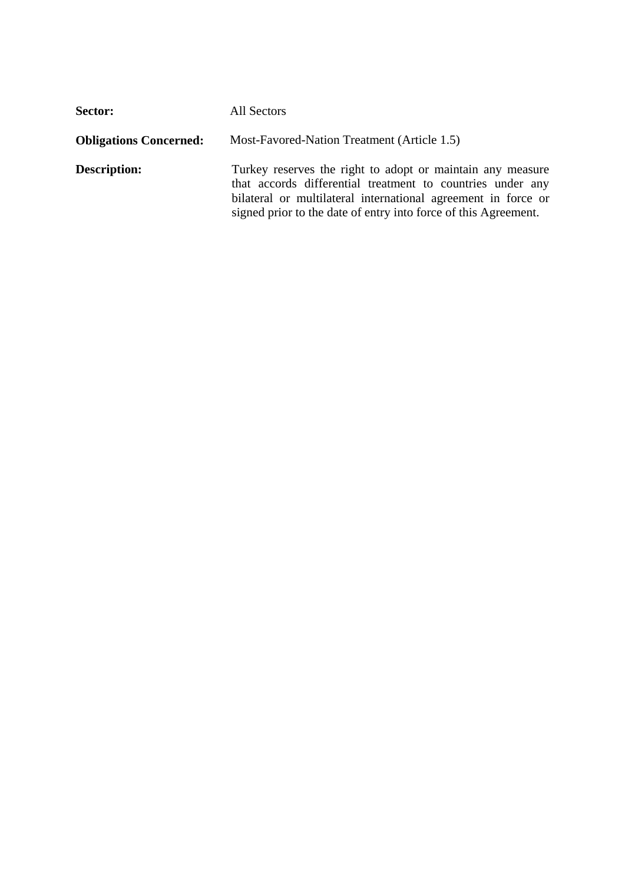| Sector:                       | All Sectors                                                                                                                                                                                                                                                  |
|-------------------------------|--------------------------------------------------------------------------------------------------------------------------------------------------------------------------------------------------------------------------------------------------------------|
| <b>Obligations Concerned:</b> | Most-Favored-Nation Treatment (Article 1.5)                                                                                                                                                                                                                  |
| <b>Description:</b>           | Turkey reserves the right to adopt or maintain any measure<br>that accords differential treatment to countries under any<br>bilateral or multilateral international agreement in force or<br>signed prior to the date of entry into force of this Agreement. |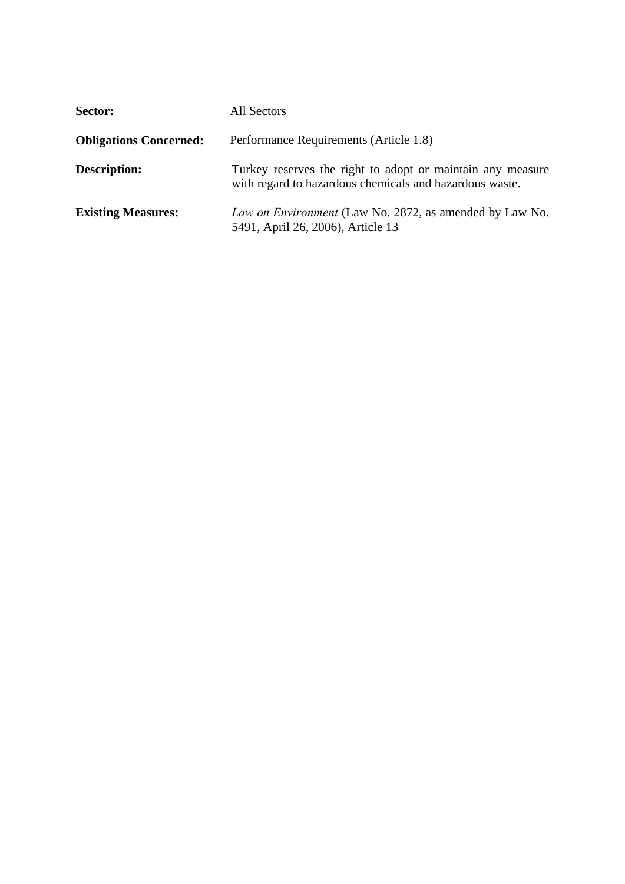| Sector:                       | All Sectors                                                                                                           |
|-------------------------------|-----------------------------------------------------------------------------------------------------------------------|
| <b>Obligations Concerned:</b> | Performance Requirements (Article 1.8)                                                                                |
| <b>Description:</b>           | Turkey reserves the right to adopt or maintain any measure<br>with regard to hazardous chemicals and hazardous waste. |
| <b>Existing Measures:</b>     | Law on Environment (Law No. 2872, as amended by Law No.<br>5491, April 26, 2006), Article 13                          |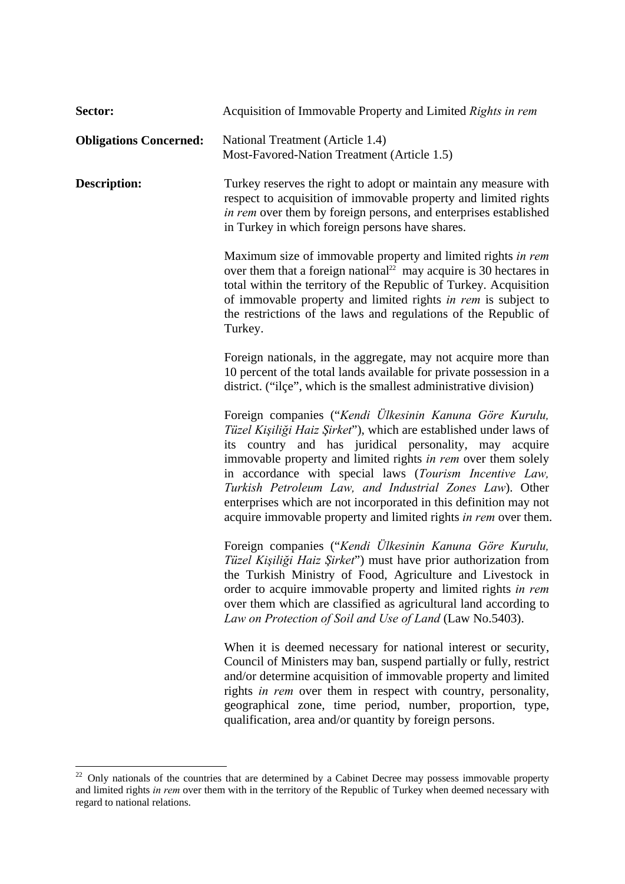| Sector:                       | Acquisition of Immovable Property and Limited Rights in rem                                                                                                                                                                                                                                                                                                                                                                                                                                                           |
|-------------------------------|-----------------------------------------------------------------------------------------------------------------------------------------------------------------------------------------------------------------------------------------------------------------------------------------------------------------------------------------------------------------------------------------------------------------------------------------------------------------------------------------------------------------------|
| <b>Obligations Concerned:</b> | National Treatment (Article 1.4)<br>Most-Favored-Nation Treatment (Article 1.5)                                                                                                                                                                                                                                                                                                                                                                                                                                       |
| <b>Description:</b>           | Turkey reserves the right to adopt or maintain any measure with<br>respect to acquisition of immovable property and limited rights<br>in rem over them by foreign persons, and enterprises established<br>in Turkey in which foreign persons have shares.                                                                                                                                                                                                                                                             |
|                               | Maximum size of immovable property and limited rights in rem<br>over them that a foreign national <sup>22</sup> may acquire is 30 hectares in<br>total within the territory of the Republic of Turkey. Acquisition<br>of immovable property and limited rights in rem is subject to<br>the restrictions of the laws and regulations of the Republic of<br>Turkey.                                                                                                                                                     |
|                               | Foreign nationals, in the aggregate, may not acquire more than<br>10 percent of the total lands available for private possession in a<br>district. ("ilçe", which is the smallest administrative division)                                                                                                                                                                                                                                                                                                            |
|                               | Foreign companies ("Kendi Ülkesinin Kanuna Göre Kurulu,<br>Tüzel Kişiliği Haiz Şirket"), which are established under laws of<br>its country and has juridical personality, may acquire<br>immovable property and limited rights in rem over them solely<br>in accordance with special laws (Tourism Incentive Law,<br>Turkish Petroleum Law, and Industrial Zones Law). Other<br>enterprises which are not incorporated in this definition may not<br>acquire immovable property and limited rights in rem over them. |
|                               | Foreign companies ("Kendi Ülkesinin Kanuna Göre Kurulu,<br>Tüzel Kişiliği Haiz Şirket") must have prior authorization from<br>the Turkish Ministry of Food, Agriculture and Livestock in<br>order to acquire immovable property and limited rights in rem<br>over them which are classified as agricultural land according to<br>Law on Protection of Soil and Use of Land (Law No.5403).                                                                                                                             |
|                               | When it is deemed necessary for national interest or security,<br>Council of Ministers may ban, suspend partially or fully, restrict<br>and/or determine acquisition of immovable property and limited<br>rights in rem over them in respect with country, personality,<br>geographical zone, time period, number, proportion, type,<br>qualification, area and/or quantity by foreign persons.                                                                                                                       |

 $22$  Only nationals of the countries that are determined by a Cabinet Decree may possess immovable property and limited rights *in rem* over them with in the territory of the Republic of Turkey when deemed necessary with regard to national relations.

1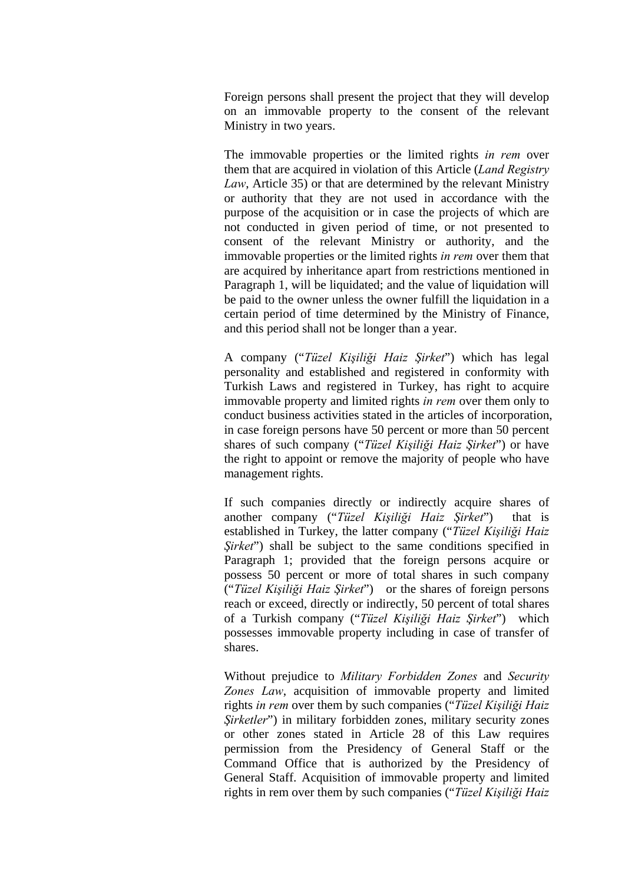Foreign persons shall present the project that they will develop on an immovable property to the consent of the relevant Ministry in two years.

The immovable properties or the limited rights *in rem* over them that are acquired in violation of this Article (*Land Registry Law*, Article 35) or that are determined by the relevant Ministry or authority that they are not used in accordance with the purpose of the acquisition or in case the projects of which are not conducted in given period of time, or not presented to consent of the relevant Ministry or authority, and the immovable properties or the limited rights *in rem* over them that are acquired by inheritance apart from restrictions mentioned in Paragraph 1, will be liquidated; and the value of liquidation will be paid to the owner unless the owner fulfill the liquidation in a certain period of time determined by the Ministry of Finance, and this period shall not be longer than a year.

A company ("*Tüzel Kişiliği Haiz Şirket*") which has legal personality and established and registered in conformity with Turkish Laws and registered in Turkey, has right to acquire immovable property and limited rights *in rem* over them only to conduct business activities stated in the articles of incorporation, in case foreign persons have 50 percent or more than 50 percent shares of such company ("*Tüzel Kişiliği Haiz Şirket*") or have the right to appoint or remove the majority of people who have management rights.

If such companies directly or indirectly acquire shares of another company ("*Tüzel Kişiliği Haiz Şirket*") that is established in Turkey, the latter company ("*Tüzel Kişiliği Haiz Sirket*") shall be subject to the same conditions specified in Paragraph 1; provided that the foreign persons acquire or possess 50 percent or more of total shares in such company ("*Tüzel Kişiliği Haiz Şirket*") or the shares of foreign persons reach or exceed, directly or indirectly, 50 percent of total shares of a Turkish company ("*Tüzel Kişiliği Haiz Şirket*") which possesses immovable property including in case of transfer of shares.

Without prejudice to *Military Forbidden Zones* and *Security Zones Law*, acquisition of immovable property and limited rights *in rem* over them by such companies ("*Tüzel Kişiliği Haiz Şirketler*") in military forbidden zones, military security zones or other zones stated in Article 28 of this Law requires permission from the Presidency of General Staff or the Command Office that is authorized by the Presidency of General Staff. Acquisition of immovable property and limited rights in rem over them by such companies ("*Tüzel Kişiliği Haiz*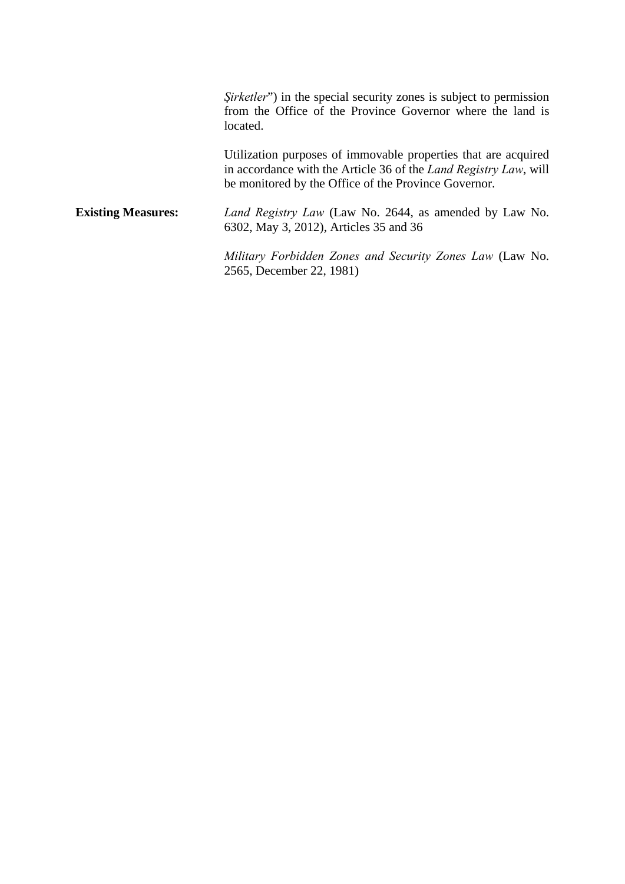*Şirketler*") in the special security zones is subject to permission from the Office of the Province Governor where the land is located.

Utilization purposes of immovable properties that are acquired in accordance with the Article 36 of the *Land Registry Law*, will be monitored by the Office of the Province Governor.

**Existing Measures:** *Land Registry Law* (Law No. 2644, as amended by Law No. 6302, May 3, 2012), Articles 35 and 36

> *Military Forbidden Zones and Security Zones Law* (Law No. 2565, December 22, 1981)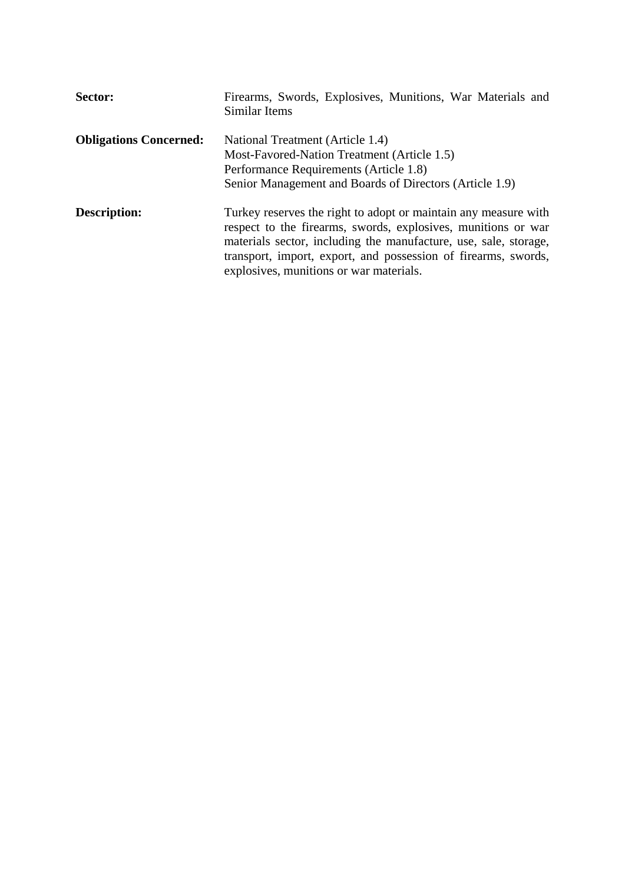| Sector:                       | Firearms, Swords, Explosives, Munitions, War Materials and<br>Similar Items                                                                                                                                                                                                                                       |
|-------------------------------|-------------------------------------------------------------------------------------------------------------------------------------------------------------------------------------------------------------------------------------------------------------------------------------------------------------------|
| <b>Obligations Concerned:</b> | National Treatment (Article 1.4)<br>Most-Favored-Nation Treatment (Article 1.5)<br>Performance Requirements (Article 1.8)<br>Senior Management and Boards of Directors (Article 1.9)                                                                                                                              |
| <b>Description:</b>           | Turkey reserves the right to adopt or maintain any measure with<br>respect to the firearms, swords, explosives, munitions or war<br>materials sector, including the manufacture, use, sale, storage,<br>transport, import, export, and possession of firearms, swords,<br>explosives, munitions or war materials. |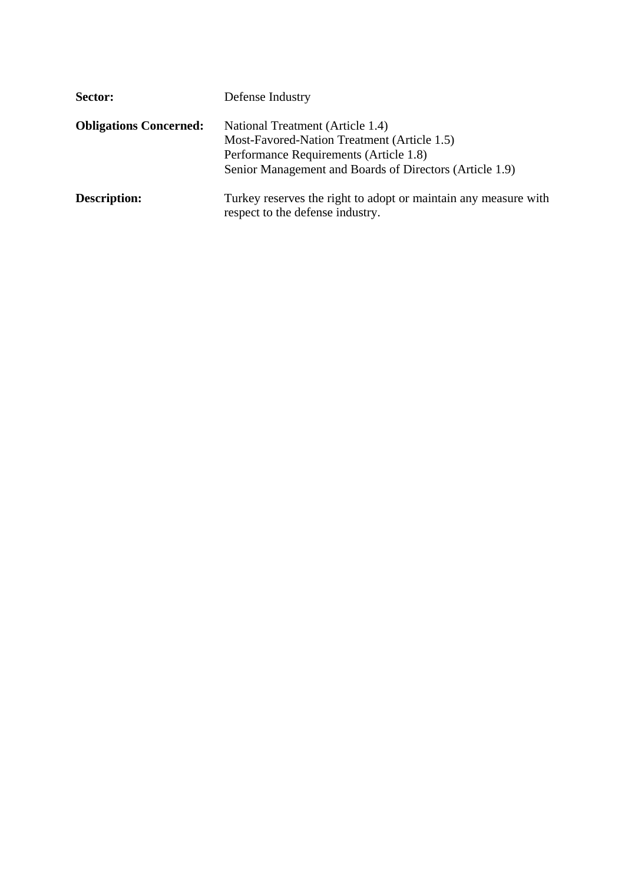| Sector:                       | Defense Industry                                                                                                                                                                     |
|-------------------------------|--------------------------------------------------------------------------------------------------------------------------------------------------------------------------------------|
| <b>Obligations Concerned:</b> | National Treatment (Article 1.4)<br>Most-Favored-Nation Treatment (Article 1.5)<br>Performance Requirements (Article 1.8)<br>Senior Management and Boards of Directors (Article 1.9) |
| <b>Description:</b>           | Turkey reserves the right to adopt or maintain any measure with<br>respect to the defense industry.                                                                                  |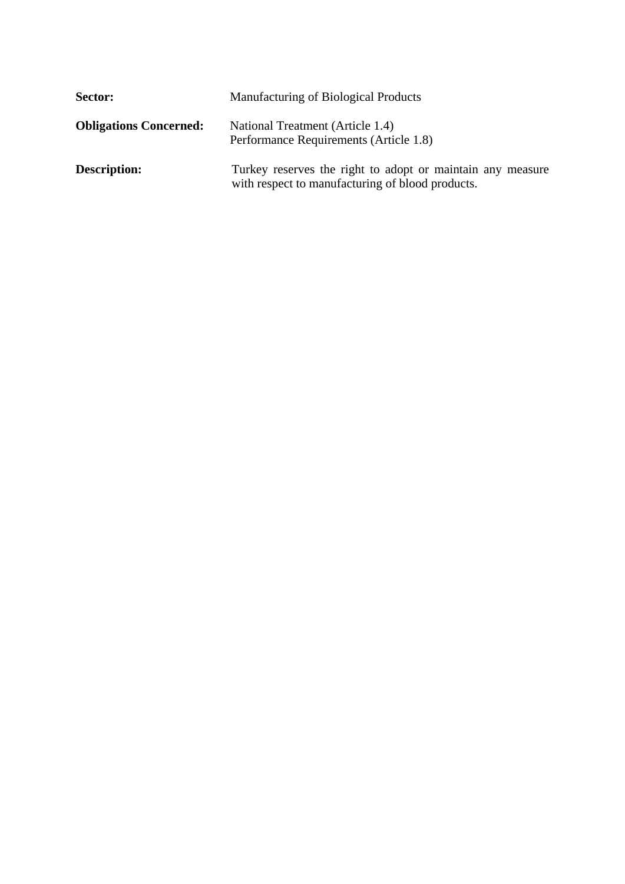| Sector:                       | Manufacturing of Biological Products                                                                           |
|-------------------------------|----------------------------------------------------------------------------------------------------------------|
| <b>Obligations Concerned:</b> | National Treatment (Article 1.4)<br>Performance Requirements (Article 1.8)                                     |
| <b>Description:</b>           | Turkey reserves the right to adopt or maintain any measure<br>with respect to manufacturing of blood products. |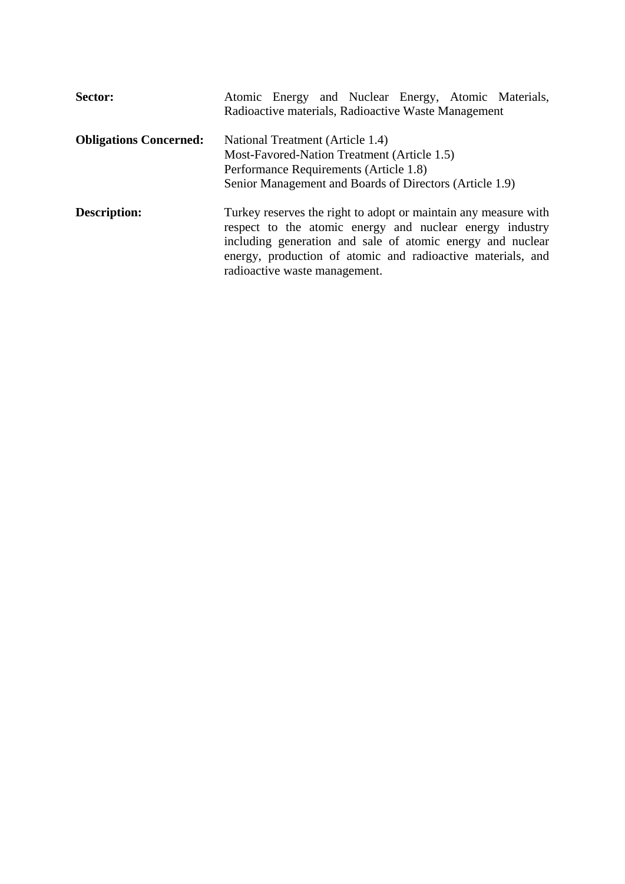| Sector:                       | Atomic Energy and Nuclear Energy, Atomic Materials,                                                                                                                                                                                                                                       |
|-------------------------------|-------------------------------------------------------------------------------------------------------------------------------------------------------------------------------------------------------------------------------------------------------------------------------------------|
|                               | Radioactive materials, Radioactive Waste Management                                                                                                                                                                                                                                       |
| <b>Obligations Concerned:</b> | National Treatment (Article 1.4)                                                                                                                                                                                                                                                          |
|                               | Most-Favored-Nation Treatment (Article 1.5)                                                                                                                                                                                                                                               |
|                               | Performance Requirements (Article 1.8)                                                                                                                                                                                                                                                    |
|                               | Senior Management and Boards of Directors (Article 1.9)                                                                                                                                                                                                                                   |
| Description:                  | Turkey reserves the right to adopt or maintain any measure with<br>respect to the atomic energy and nuclear energy industry<br>including generation and sale of atomic energy and nuclear<br>energy, production of atomic and radioactive materials, and<br>radioactive waste management. |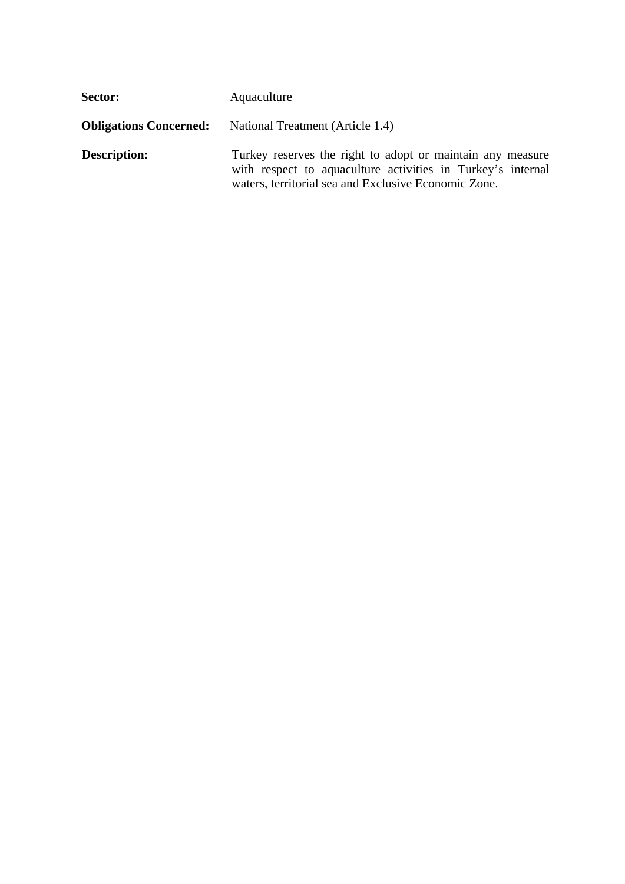| Sector:                       | Aquaculture                                                                                                                                                                       |
|-------------------------------|-----------------------------------------------------------------------------------------------------------------------------------------------------------------------------------|
| <b>Obligations Concerned:</b> | National Treatment (Article 1.4)                                                                                                                                                  |
| <b>Description:</b>           | Turkey reserves the right to adopt or maintain any measure<br>with respect to aquaculture activities in Turkey's internal<br>waters, territorial sea and Exclusive Economic Zone. |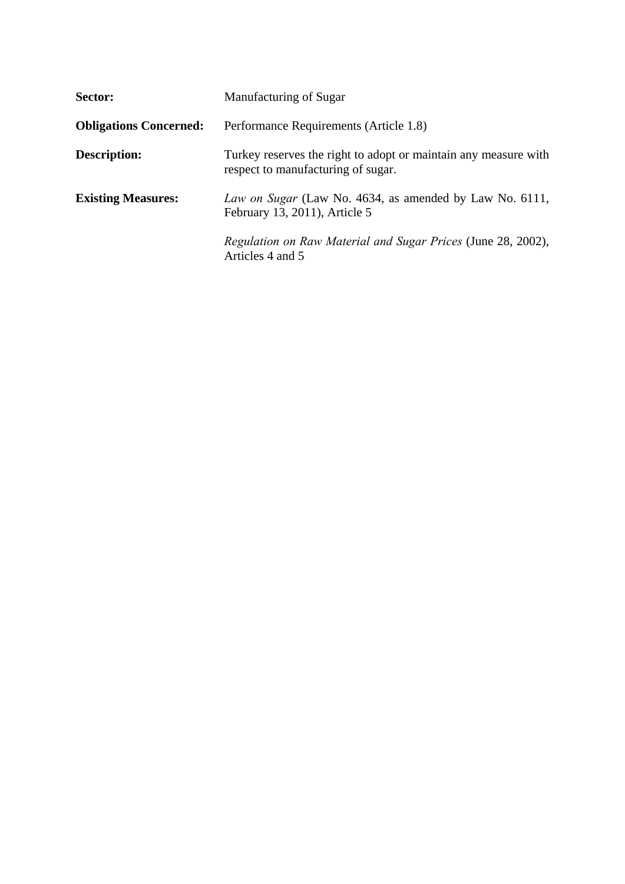| Sector:                       | Manufacturing of Sugar                                                                                |
|-------------------------------|-------------------------------------------------------------------------------------------------------|
| <b>Obligations Concerned:</b> | Performance Requirements (Article 1.8)                                                                |
| <b>Description:</b>           | Turkey reserves the right to adopt or maintain any measure with<br>respect to manufacturing of sugar. |
| <b>Existing Measures:</b>     | Law on Sugar (Law No. 4634, as amended by Law No. 6111,<br>February 13, 2011), Article 5              |
|                               | Regulation on Raw Material and Sugar Prices (June 28, 2002),<br>Articles 4 and 5                      |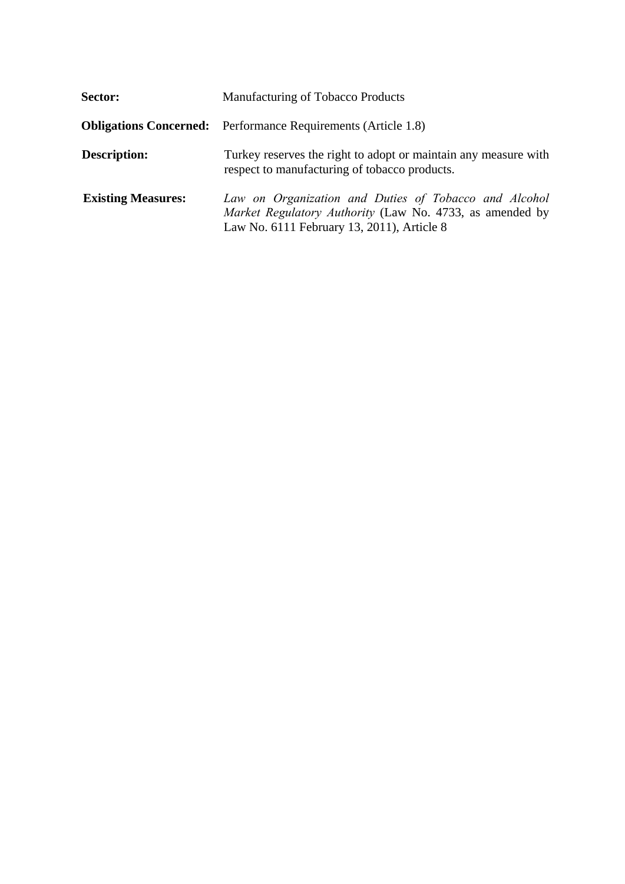| Sector:                   | Manufacturing of Tobacco Products                                                                                                                               |
|---------------------------|-----------------------------------------------------------------------------------------------------------------------------------------------------------------|
|                           | <b>Obligations Concerned:</b> Performance Requirements (Article 1.8)                                                                                            |
| <b>Description:</b>       | Turkey reserves the right to adopt or maintain any measure with<br>respect to manufacturing of tobacco products.                                                |
| <b>Existing Measures:</b> | Law on Organization and Duties of Tobacco and Alcohol<br>Market Regulatory Authority (Law No. 4733, as amended by<br>Law No. 6111 February 13, 2011), Article 8 |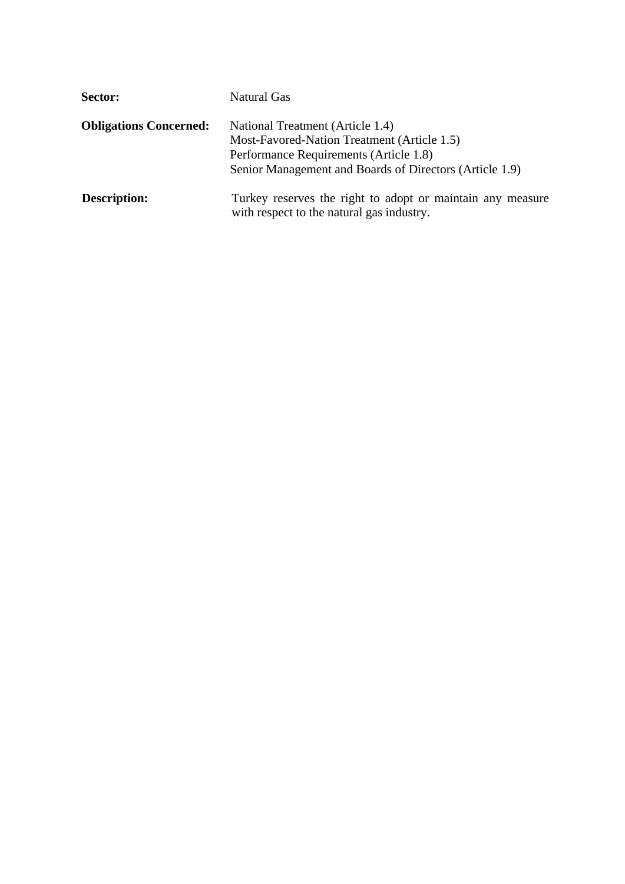| Sector:                       | Natural Gas                                                                                                                                                                          |
|-------------------------------|--------------------------------------------------------------------------------------------------------------------------------------------------------------------------------------|
| <b>Obligations Concerned:</b> | National Treatment (Article 1.4)<br>Most-Favored-Nation Treatment (Article 1.5)<br>Performance Requirements (Article 1.8)<br>Senior Management and Boards of Directors (Article 1.9) |
| <b>Description:</b>           | Turkey reserves the right to adopt or maintain any measure<br>with respect to the natural gas industry.                                                                              |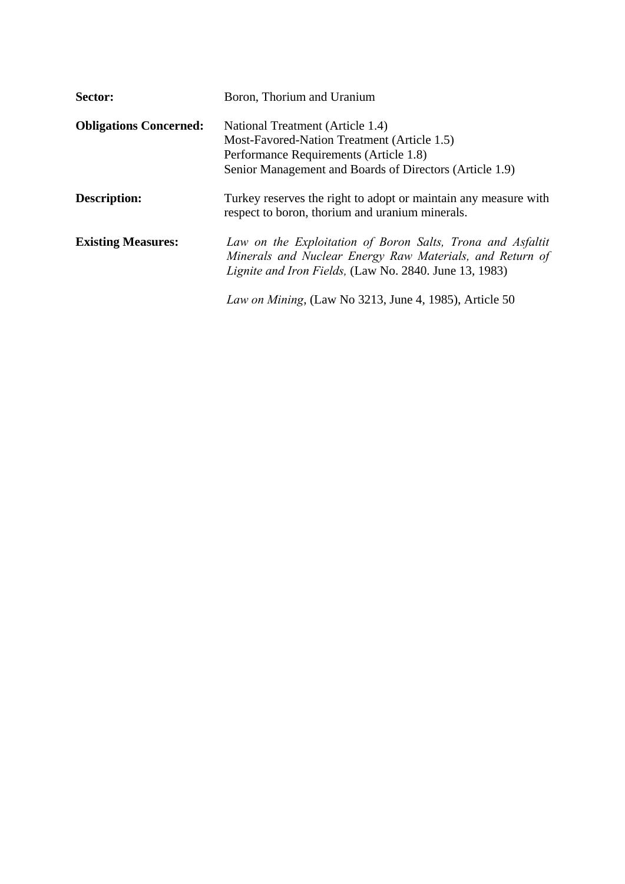| Sector:                       | Boron, Thorium and Uranium                                                                                                                                                              |
|-------------------------------|-----------------------------------------------------------------------------------------------------------------------------------------------------------------------------------------|
| <b>Obligations Concerned:</b> | National Treatment (Article 1.4)                                                                                                                                                        |
|                               | Most-Favored-Nation Treatment (Article 1.5)                                                                                                                                             |
|                               | Performance Requirements (Article 1.8)                                                                                                                                                  |
|                               | Senior Management and Boards of Directors (Article 1.9)                                                                                                                                 |
| Description:                  | Turkey reserves the right to adopt or maintain any measure with<br>respect to boron, thorium and uranium minerals.                                                                      |
| <b>Existing Measures:</b>     | Law on the Exploitation of Boron Salts, Trona and Asfaltit<br>Minerals and Nuclear Energy Raw Materials, and Return of<br><i>Lignite and Iron Fields, (Law No. 2840. June 13, 1983)</i> |
|                               | Law on Mining, (Law No 3213, June 4, 1985), Article 50                                                                                                                                  |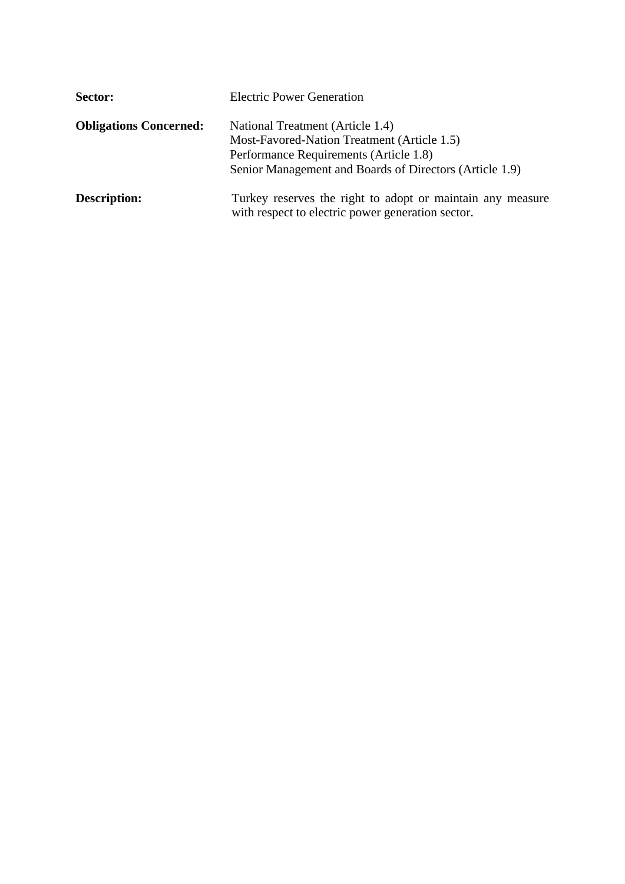| Sector:                       | <b>Electric Power Generation</b>                                                                                                                                                     |
|-------------------------------|--------------------------------------------------------------------------------------------------------------------------------------------------------------------------------------|
| <b>Obligations Concerned:</b> | National Treatment (Article 1.4)<br>Most-Favored-Nation Treatment (Article 1.5)<br>Performance Requirements (Article 1.8)<br>Senior Management and Boards of Directors (Article 1.9) |
| <b>Description:</b>           | Turkey reserves the right to adopt or maintain any measure<br>with respect to electric power generation sector.                                                                      |